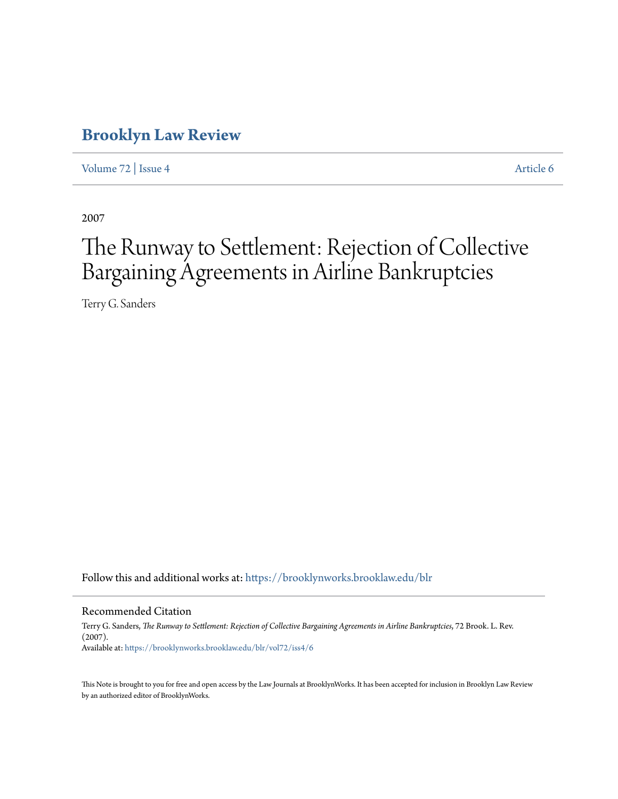# **[Brooklyn Law Review](https://brooklynworks.brooklaw.edu/blr?utm_source=brooklynworks.brooklaw.edu%2Fblr%2Fvol72%2Fiss4%2F6&utm_medium=PDF&utm_campaign=PDFCoverPages)**

[Volume 72](https://brooklynworks.brooklaw.edu/blr/vol72?utm_source=brooklynworks.brooklaw.edu%2Fblr%2Fvol72%2Fiss4%2F6&utm_medium=PDF&utm_campaign=PDFCoverPages) | [Issue 4](https://brooklynworks.brooklaw.edu/blr/vol72/iss4?utm_source=brooklynworks.brooklaw.edu%2Fblr%2Fvol72%2Fiss4%2F6&utm_medium=PDF&utm_campaign=PDFCoverPages) [Article 6](https://brooklynworks.brooklaw.edu/blr/vol72/iss4/6?utm_source=brooklynworks.brooklaw.edu%2Fblr%2Fvol72%2Fiss4%2F6&utm_medium=PDF&utm_campaign=PDFCoverPages)

2007

# The Runway to Settlement: Rejection of Collective Bargaining Agreements in Airline Bankruptcies

Terry G. Sanders

Follow this and additional works at: [https://brooklynworks.brooklaw.edu/blr](https://brooklynworks.brooklaw.edu/blr?utm_source=brooklynworks.brooklaw.edu%2Fblr%2Fvol72%2Fiss4%2F6&utm_medium=PDF&utm_campaign=PDFCoverPages)

#### Recommended Citation

Terry G. Sanders, *The Runway to Settlement: Rejection of Collective Bargaining Agreements in Airline Bankruptcies*, 72 Brook. L. Rev. (2007). Available at: [https://brooklynworks.brooklaw.edu/blr/vol72/iss4/6](https://brooklynworks.brooklaw.edu/blr/vol72/iss4/6?utm_source=brooklynworks.brooklaw.edu%2Fblr%2Fvol72%2Fiss4%2F6&utm_medium=PDF&utm_campaign=PDFCoverPages)

This Note is brought to you for free and open access by the Law Journals at BrooklynWorks. It has been accepted for inclusion in Brooklyn Law Review by an authorized editor of BrooklynWorks.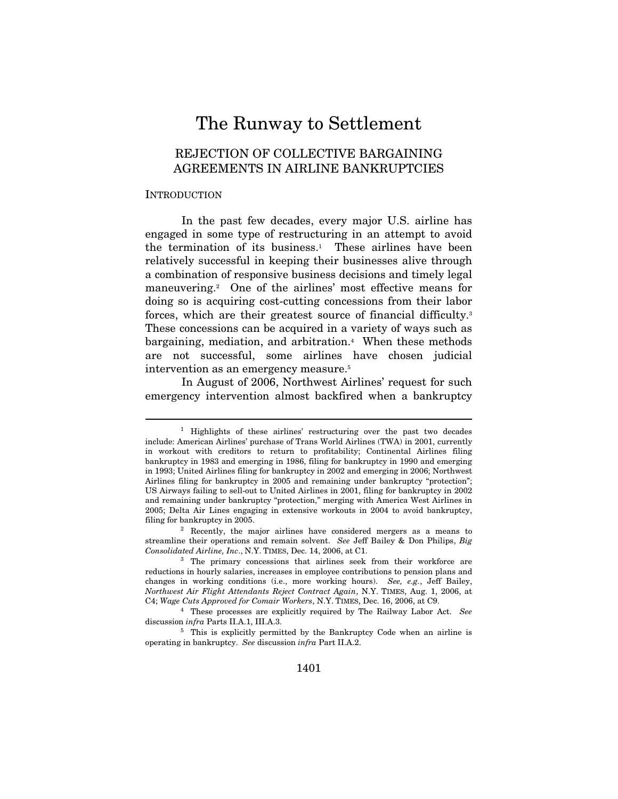## The Runway to Settlement

### REJECTION OF COLLECTIVE BARGAINING AGREEMENTS IN AIRLINE BANKRUPTCIES

#### **INTRODUCTION**

 $\overline{a}$ 

In the past few decades, every major U.S. airline has engaged in some type of restructuring in an attempt to avoid the termination of its business.1 These airlines have been relatively successful in keeping their businesses alive through a combination of responsive business decisions and timely legal maneuvering.2 One of the airlines' most effective means for doing so is acquiring cost-cutting concessions from their labor forces, which are their greatest source of financial difficulty.<sup>3</sup> These concessions can be acquired in a variety of ways such as bargaining, mediation, and arbitration.<sup>4</sup> When these methods are not successful, some airlines have chosen judicial intervention as an emergency measure.<sup>5</sup>

In August of 2006, Northwest Airlines' request for such emergency intervention almost backfired when a bankruptcy

<sup>&</sup>lt;sup>1</sup> Highlights of these airlines' restructuring over the past two decades include: American Airlines' purchase of Trans World Airlines (TWA) in 2001, currently in workout with creditors to return to profitability; Continental Airlines filing bankruptcy in 1983 and emerging in 1986, filing for bankruptcy in 1990 and emerging in 1993; United Airlines filing for bankruptcy in 2002 and emerging in 2006; Northwest Airlines filing for bankruptcy in 2005 and remaining under bankruptcy "protection"; US Airways failing to sell-out to United Airlines in 2001, filing for bankruptcy in 2002 and remaining under bankruptcy "protection," merging with America West Airlines in 2005; Delta Air Lines engaging in extensive workouts in 2004 to avoid bankruptcy, filing for bankruptcy in 2005.<br><sup>2</sup> Recently, the major airlines have considered mergers as a means to

streamline their operations and remain solvent. See Jeff Bailey & Don Philips,  $Big$ Consolidated Airline, Inc., N.Y. TIMES, Dec. 14, 2006, at C1.  $\frac{3}{1000}$  The primary concessions that airlines seek from their workforce are

reductions in hourly salaries, increases in employee contributions to pension plans and changes in working conditions (i.e., more working hours). See, e.g., Jeff Bailey, Northwest Air Flight Attendants Reject Contract Again, N.Y. TIMES, Aug. 1, 2006, at

C4; Wage Cuts Approved for Comair Workers, N.Y. TIMES, Dec. 16, 2006, at C9.  $4$  These processes are explicitly required by The Railway Labor Act. *See* discussion *infra* Parts II.A.1, III.A.3.

 $5$  This is explicitly permitted by the Bankruptcy Code when an airline is operating in bankruptcy. See discussion infra Part II.A.2.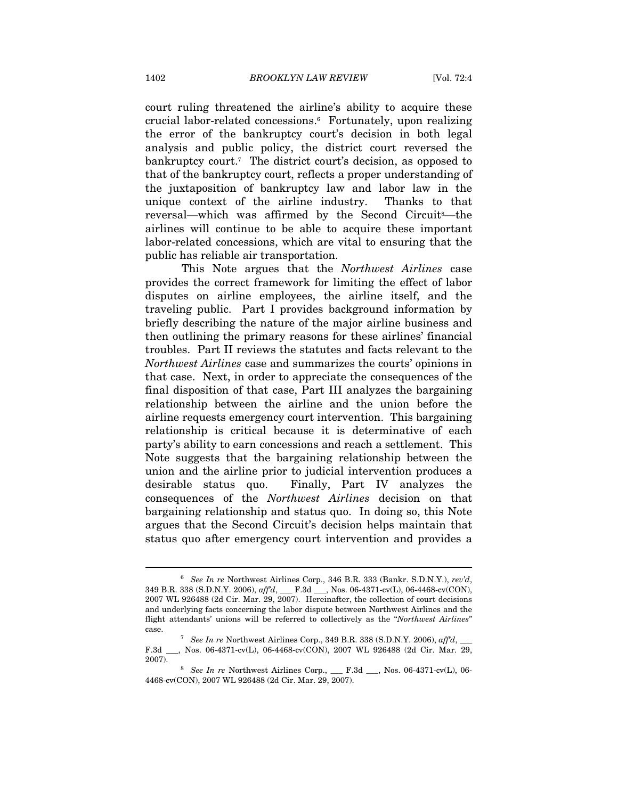court ruling threatened the airline's ability to acquire these crucial labor-related concessions.6 Fortunately, upon realizing the error of the bankruptcy court's decision in both legal analysis and public policy, the district court reversed the bankruptcy court.<sup>7</sup> The district court's decision, as opposed to that of the bankruptcy court, reflects a proper understanding of the juxtaposition of bankruptcy law and labor law in the unique context of the airline industry. Thanks to that reversal—which was affirmed by the Second Circuit<sup>8</sup>—the airlines will continue to be able to acquire these important labor-related concessions, which are vital to ensuring that the public has reliable air transportation.

This Note argues that the Northwest Airlines case provides the correct framework for limiting the effect of labor disputes on airline employees, the airline itself, and the traveling public. Part I provides background information by briefly describing the nature of the major airline business and then outlining the primary reasons for these airlines' financial troubles. Part II reviews the statutes and facts relevant to the Northwest Airlines case and summarizes the courts' opinions in that case. Next, in order to appreciate the consequences of the final disposition of that case, Part III analyzes the bargaining relationship between the airline and the union before the airline requests emergency court intervention. This bargaining relationship is critical because it is determinative of each party's ability to earn concessions and reach a settlement. This Note suggests that the bargaining relationship between the union and the airline prior to judicial intervention produces a desirable status quo. Finally, Part IV analyzes the consequences of the Northwest Airlines decision on that bargaining relationship and status quo. In doing so, this Note argues that the Second Circuit's decision helps maintain that status quo after emergency court intervention and provides a

 $6$  See In re Northwest Airlines Corp., 346 B.R. 333 (Bankr. S.D.N.Y.), rev'd, 349 B.R. 338 (S.D.N.Y. 2006), aff'd, \_\_\_ F.3d \_\_\_, Nos. 06-4371-cv(L), 06-4468-cv(CON), 2007 WL 926488 (2d Cir. Mar. 29, 2007). Hereinafter, the collection of court decisions and underlying facts concerning the labor dispute between Northwest Airlines and the flight attendants' unions will be referred to collectively as the "Northwest Airlines"

case.  $\frac{7}{7}$  See In re Northwest Airlines Corp., 349 B.R. 338 (S.D.N.Y. 2006), aff'd, F.3d \_\_, Nos. 06-4371-cv(L), 06-4468-cv(CON), 2007 WL 926488 (2d Cir. Mar. 29, 2007).

 $8$  See In re Northwest Airlines Corp.,  $\_\_$  F.3d  $\_\_$ , Nos. 06-4371-cv(L), 06-4468-cv(CON), 2007 WL 926488 (2d Cir. Mar. 29, 2007).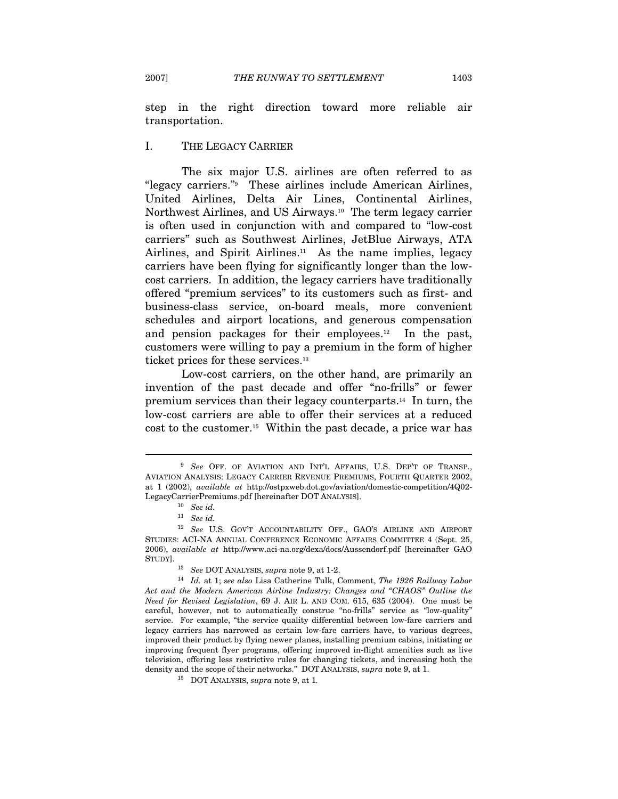step in the right direction toward more reliable air transportation.

#### I. THE LEGACY CARRIER

The six major U.S. airlines are often referred to as "legacy carriers."9 These airlines include American Airlines, United Airlines, Delta Air Lines, Continental Airlines, Northwest Airlines, and US Airways.10 The term legacy carrier is often used in conjunction with and compared to "low-cost carriers" such as Southwest Airlines, JetBlue Airways, ATA Airlines, and Spirit Airlines.<sup>11</sup> As the name implies, legacy carriers have been flying for significantly longer than the lowcost carriers. In addition, the legacy carriers have traditionally offered "premium services" to its customers such as first- and business-class service, on-board meals, more convenient schedules and airport locations, and generous compensation and pension packages for their employees.12 In the past, customers were willing to pay a premium in the form of higher ticket prices for these services.<sup>13</sup>

Low-cost carriers, on the other hand, are primarily an invention of the past decade and offer "no-frills" or fewer premium services than their legacy counterparts.14 In turn, the low-cost carriers are able to offer their services at a reduced cost to the customer.15 Within the past decade, a price war has

<sup>&</sup>lt;sup>9</sup> See OFF. OF AVIATION AND INT'L AFFAIRS, U.S. DEP'T OF TRANSP., AVIATION ANALYSIS: LEGACY CARRIER REVENUE PREMIUMS, FOURTH QUARTER 2002, at 1 (2002), available at http://ostpxweb.dot.gov/aviation/domestic-competition/4Q02- LegacyCarrierPremiums.pdf [hereinafter DOT ANALYSIS]. 10 See id.

 $11$  See id.

<sup>12</sup> See U.S. GOV'T ACCOUNTABILITY OFF., GAO'S AIRLINE AND AIRPORT STUDIES: ACI-NA ANNUAL CONFERENCE ECONOMIC AFFAIRS COMMITTEE 4 (Sept. 25, 2006), available at http://www.aci-na.org/dexa/docs/Aussendorf.pdf [hereinafter GAO STUDY].

<sup>&</sup>lt;sup>13</sup> See DOT ANALYSIS, supra note 9, at 1-2.<br><sup>14</sup> Id. at 1; see also Lisa Catherine Tulk, Comment, *The 1926 Railway Labor* Act and the Modern American Airline Industry: Changes and "CHAOS" Outline the Need for Revised Legislation, 69 J. AIR L. AND COM. 615, 635 (2004). One must be careful, however, not to automatically construe "no-frills" service as "low-quality" service. For example, "the service quality differential between low-fare carriers and legacy carriers has narrowed as certain low-fare carriers have, to various degrees, improved their product by flying newer planes, installing premium cabins, initiating or improving frequent flyer programs, offering improved in-flight amenities such as live television, offering less restrictive rules for changing tickets, and increasing both the density and the scope of their networks." DOT ANALYSIS, supra note 9, at 1.  $15$  DOT ANALYSIS, supra note 9, at 1.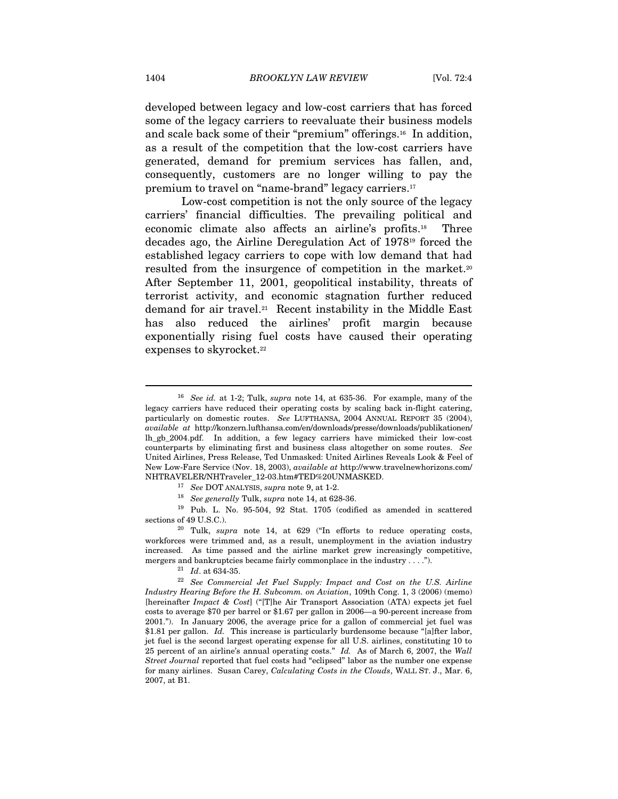developed between legacy and low-cost carriers that has forced some of the legacy carriers to reevaluate their business models and scale back some of their "premium" offerings.16 In addition, as a result of the competition that the low-cost carriers have generated, demand for premium services has fallen, and, consequently, customers are no longer willing to pay the premium to travel on "name-brand" legacy carriers.17

Low-cost competition is not the only source of the legacy carriers' financial difficulties. The prevailing political and economic climate also affects an airline's profits.18 Three decades ago, the Airline Deregulation Act of 197819 forced the established legacy carriers to cope with low demand that had resulted from the insurgence of competition in the market.<sup>20</sup> After September 11, 2001, geopolitical instability, threats of terrorist activity, and economic stagnation further reduced demand for air travel.21 Recent instability in the Middle East has also reduced the airlines' profit margin because exponentially rising fuel costs have caused their operating expenses to skyrocket.<sup>22</sup>

<sup>17</sup> See DOT ANALYSIS, supra note 9, at 1-2.<br><sup>18</sup> See generally Tulk, supra note 14, at 628-36. <sup>19</sup> Pub. L. No. 95-504, 92 Stat. 1705 (codified as amended in scattered sections of 49 U.S.C.).  $^{20}$  Tulk, *supra* note 14, at 629 ("In efforts to reduce operating costs,

<sup>16</sup> See id. at 1-2; Tulk, supra note 14, at 635-36. For example, many of the legacy carriers have reduced their operating costs by scaling back in-flight catering, particularly on domestic routes. See LUFTHANSA, 2004 ANNUAL REPORT 35 (2004), available at http://konzern.lufthansa.com/en/downloads/presse/downloads/publikationen/ lh\_gb\_2004.pdf. In addition, a few legacy carriers have mimicked their low-cost counterparts by eliminating first and business class altogether on some routes. See United Airlines, Press Release, Ted Unmasked: United Airlines Reveals Look & Feel of New Low-Fare Service (Nov. 18, 2003), available at http://www.travelnewhorizons.com/<br>NHTRAVELER/NHTraveler\_12-03.htm#TED%20UNMASKED.

workforces were trimmed and, as a result, unemployment in the aviation industry increased. As time passed and the airline market grew increasingly competitive, mergers and bankruptcies became fairly commonplace in the industry . . . .").

 $^{21}$  Id. at 634-35.<br> $^{22}$  See Commercial Jet Fuel Supply: Impact and Cost on the U.S. Airline Industry Hearing Before the H. Subcomm. on Aviation, 109th Cong. 1, 3 (2006) (memo) [hereinafter Impact & Cost] ("[T]he Air Transport Association (ATA) expects jet fuel costs to average \$70 per barrel or \$1.67 per gallon in 2006—a 90-percent increase from 2001."). In January 2006, the average price for a gallon of commercial jet fuel was \$1.81 per gallon. Id. This increase is particularly burdensome because "[a]fter labor, jet fuel is the second largest operating expense for all U.S. airlines, constituting 10 to 25 percent of an airline's annual operating costs." Id. As of March 6, 2007, the Wall Street Journal reported that fuel costs had "eclipsed" labor as the number one expense for many airlines. Susan Carey, Calculating Costs in the Clouds, WALL ST. J., Mar. 6, 2007, at B1.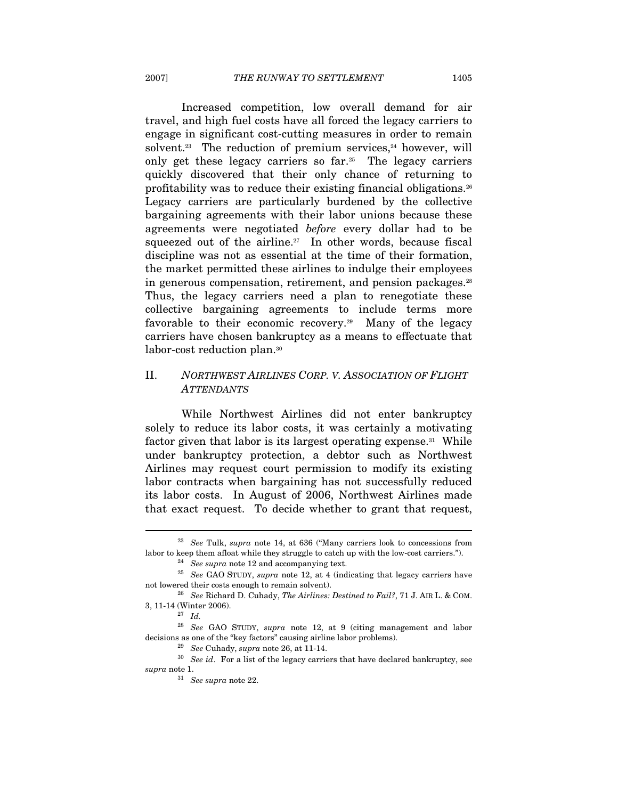Increased competition, low overall demand for air travel, and high fuel costs have all forced the legacy carriers to engage in significant cost-cutting measures in order to remain solvent.<sup>23</sup> The reduction of premium services,  $24$  however, will only get these legacy carriers so far.25 The legacy carriers quickly discovered that their only chance of returning to profitability was to reduce their existing financial obligations.26 Legacy carriers are particularly burdened by the collective bargaining agreements with their labor unions because these agreements were negotiated before every dollar had to be squeezed out of the airline.<sup>27</sup> In other words, because fiscal discipline was not as essential at the time of their formation, the market permitted these airlines to indulge their employees in generous compensation, retirement, and pension packages.<sup>28</sup> Thus, the legacy carriers need a plan to renegotiate these collective bargaining agreements to include terms more favorable to their economic recovery.29 Many of the legacy carriers have chosen bankruptcy as a means to effectuate that labor-cost reduction plan.<sup>30</sup>

### II. NORTHWEST AIRLINES CORP. V. ASSOCIATION OF FLIGHT **ATTENDANTS**

While Northwest Airlines did not enter bankruptcy solely to reduce its labor costs, it was certainly a motivating factor given that labor is its largest operating expense.<sup>31</sup> While under bankruptcy protection, a debtor such as Northwest Airlines may request court permission to modify its existing labor contracts when bargaining has not successfully reduced its labor costs. In August of 2006, Northwest Airlines made that exact request. To decide whether to grant that request,

 $23$  See Tulk, supra note 14, at 636 ("Many carriers look to concessions from labor to keep them afloat while they struggle to catch up with the low-cost carriers.").  $\frac{24}{5}$  See supra note 12 and accompanying text.

 $25$  See GAO STUDY, supra note 12, at 4 (indicating that legacy carriers have not lowered their costs enough to remain solvent).<br><sup>26</sup> See Richard D. Cuhady, *The Airlines: Destined to Fail?*, 71 J. AIR L. & COM.

<sup>3, 11-14 (</sup>Winter 2006).<br> $\frac{27}{1}$  Id.

<sup>&</sup>lt;sup>28</sup> See GAO STUDY, supra note 12, at 9 (citing management and labor decisions as one of the "key factors" causing airline labor problems).

<sup>%</sup>  $\frac{29}{30}$  See Cuhady, supra note 26, at 11-14.  $\frac{30}{30}$  See id. For a list of the legacy carriers that have declared bankruptcy, see supra note 1.  $\frac{31}{2}$  See supra note 22.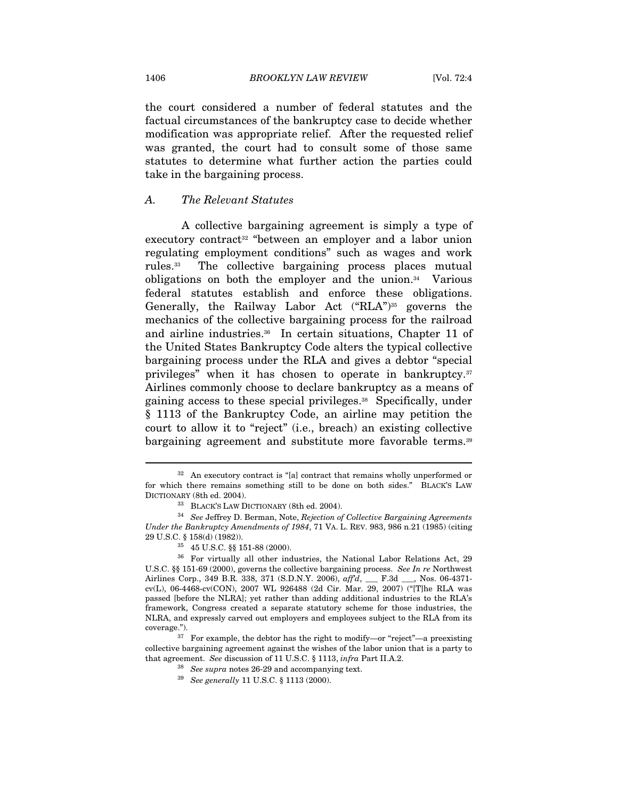the court considered a number of federal statutes and the factual circumstances of the bankruptcy case to decide whether modification was appropriate relief. After the requested relief was granted, the court had to consult some of those same statutes to determine what further action the parties could take in the bargaining process.

#### A. The Relevant Statutes

A collective bargaining agreement is simply a type of executory contract<sup>32</sup> "between an employer and a labor union regulating employment conditions" such as wages and work rules.33 The collective bargaining process places mutual obligations on both the employer and the union.34 Various federal statutes establish and enforce these obligations. Generally, the Railway Labor Act ("RLA")<sup>35</sup> governs the mechanics of the collective bargaining process for the railroad and airline industries.36 In certain situations, Chapter 11 of the United States Bankruptcy Code alters the typical collective bargaining process under the RLA and gives a debtor "special privileges" when it has chosen to operate in bankruptcy.37 Airlines commonly choose to declare bankruptcy as a means of gaining access to these special privileges.38 Specifically, under § 1113 of the Bankruptcy Code, an airline may petition the court to allow it to "reject" (i.e., breach) an existing collective bargaining agreement and substitute more favorable terms.<sup>39</sup>

 $32$  An executory contract is "[a] contract that remains wholly unperformed or for which there remains something still to be done on both sides." BLACK'S LAW DICTIONARY (8th ed. 2004).<br><sup>33</sup> BLACK'S LAW DICTIONARY (8th ed. 2004).<br><sup>34</sup> See Jeffrey D. Berman, Note, *Rejection of Collective Bargaining Agreements* 

Under the Bankruptcy Amendments of 1984, 71 VA. L. REV. 983, 986 n.21 (1985) (citing  $\begin{array}{c} \textbf{29 U.S.C.} \ \text{\$158(d) (1982))}.\\ \textbf{^{35}} \ \ \textbf{45 U.S.C.} \ \text{\$\$151-88 (2000).} \end{array}$ 

<sup>36</sup> For virtually all other industries, the National Labor Relations Act, 29 U.S.C. §§ 151-69 (2000), governs the collective bargaining process. See In re Northwest Airlines Corp., 349 B.R. 338, 371 (S.D.N.Y. 2006), aff'd, \_\_\_ F.3d \_\_\_, Nos. 06-4371 cv(L), 06-4468-cv(CON), 2007 WL 926488 (2d Cir. Mar. 29, 2007) ("[T]he RLA was passed [before the NLRA]; yet rather than adding additional industries to the RLA's framework, Congress created a separate statutory scheme for those industries, the NLRA, and expressly carved out employers and employees subject to the RLA from its

 $^\mathrm{37}$  For example, the debtor has the right to modify—or "reject"—a preexisting collective bargaining agreement against the wishes of the labor union that is a party to that agreement. See discussion of 11 U.S.C. § 1113,  $infra$  Part II.A.2.<br><sup>38</sup> See supra notes 26-29 and accompanying text.<br><sup>39</sup> See generally 11 U.S.C. § 1113 (2000).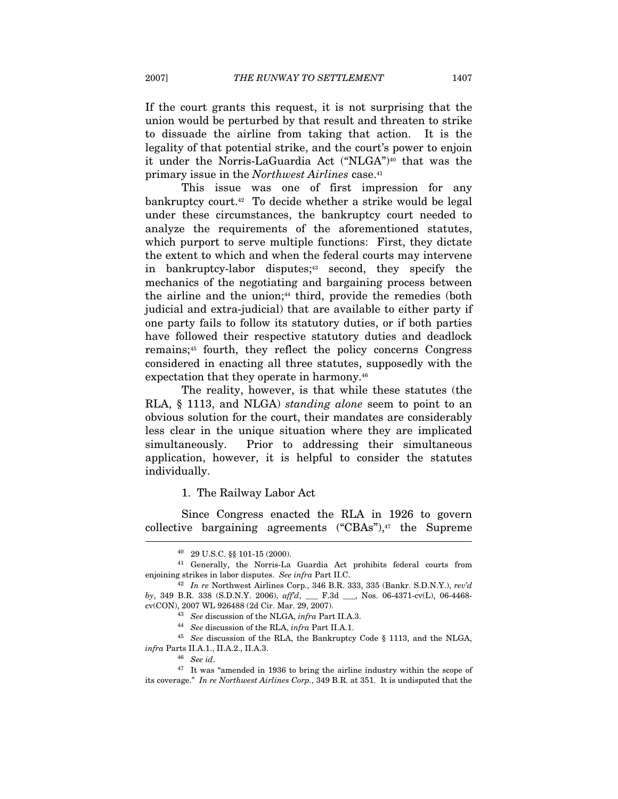If the court grants this request, it is not surprising that the union would be perturbed by that result and threaten to strike to dissuade the airline from taking that action. It is the legality of that potential strike, and the court's power to enjoin it under the Norris-LaGuardia Act ("NLGA")40 that was the primary issue in the Northwest Airlines case.<sup>41</sup>

This issue was one of first impression for any bankruptcy court.42 To decide whether a strike would be legal under these circumstances, the bankruptcy court needed to analyze the requirements of the aforementioned statutes, which purport to serve multiple functions: First, they dictate the extent to which and when the federal courts may intervene in bankruptcy-labor disputes;<sup>43</sup> second, they specify the mechanics of the negotiating and bargaining process between the airline and the union;<sup>44</sup> third, provide the remedies (both judicial and extra-judicial) that are available to either party if one party fails to follow its statutory duties, or if both parties have followed their respective statutory duties and deadlock remains;45 fourth, they reflect the policy concerns Congress considered in enacting all three statutes, supposedly with the expectation that they operate in harmony.<sup>46</sup>

The reality, however, is that while these statutes (the RLA, § 1113, and NLGA) standing alone seem to point to an obvious solution for the court, their mandates are considerably less clear in the unique situation where they are implicated simultaneously. Prior to addressing their simultaneous application, however, it is helpful to consider the statutes individually.

#### 1. The Railway Labor Act

Since Congress enacted the RLA in 1926 to govern collective bargaining agreements  $("CBAs")<sup>47</sup>$  the Supreme

<sup>40 29</sup> U.S.C. §§ 101-15 (2000).

<sup>41</sup> Generally, the Norris-La Guardia Act prohibits federal courts from enjoining strikes in labor disputes. See infra Part II.C.<br><sup>42</sup> In re Northwest Airlines Corp., 346 B.R. 333, 335 (Bankr. S.D.N.Y.), rev'd

by, 349 B.R. 338 (S.D.N.Y. 2006),  $affd$ ,  $F.3d$   $...$  Nos. 06-4371-cv(L), 06-4468-cv(CON), 2007 WL 926488 (2d Cir. Mar. 29, 2007).

<sup>&</sup>lt;sup>43</sup> See discussion of the NLGA,  $\inf$ ra Part II.A.3.<br><sup>44</sup> See discussion of the RLA,  $\inf$ ra Part II.A.1.

 $^{45}$   $\,$  See discussion of the RLA, the Bankruptcy Code § 1113, and the NLGA,  $infra$  Parts II.A.1., II.A.2., II.A.3.  $^{46}$  See id.  $^{47}$  It was "amended in 1936 to bring the airline industry within the scope of  $\,$ 

its coverage." In re Northwest Airlines Corp., 349 B.R. at 351. It is undisputed that the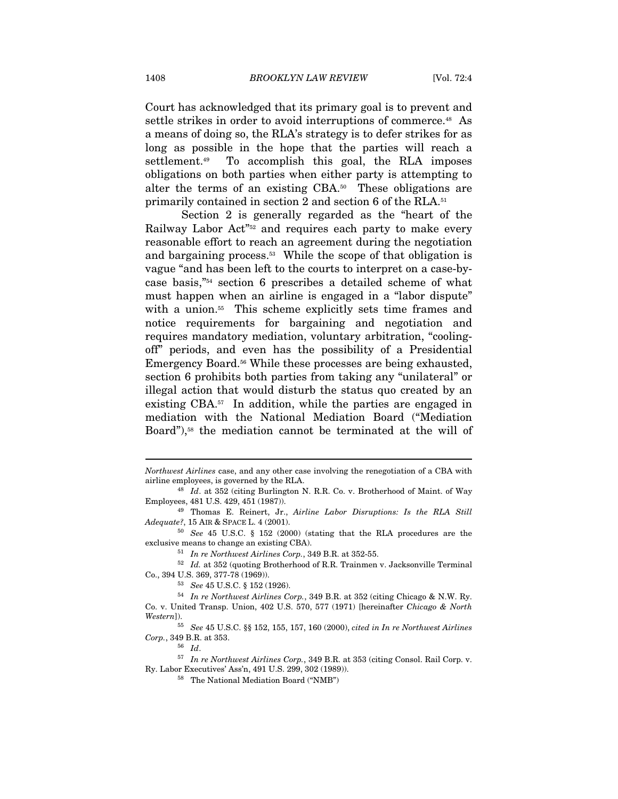Court has acknowledged that its primary goal is to prevent and settle strikes in order to avoid interruptions of commerce.<sup>48</sup> As a means of doing so, the RLA's strategy is to defer strikes for as long as possible in the hope that the parties will reach a settlement.<sup>49</sup> To accomplish this goal, the RLA imposes obligations on both parties when either party is attempting to alter the terms of an existing CBA.50 These obligations are primarily contained in section 2 and section 6 of the RLA.<sup>51</sup>

Section 2 is generally regarded as the "heart of the Railway Labor Act"52 and requires each party to make every reasonable effort to reach an agreement during the negotiation and bargaining process.<sup>53</sup> While the scope of that obligation is vague "and has been left to the courts to interpret on a case-bycase basis,"54 section 6 prescribes a detailed scheme of what must happen when an airline is engaged in a "labor dispute" with a union.<sup>55</sup> This scheme explicitly sets time frames and notice requirements for bargaining and negotiation and requires mandatory mediation, voluntary arbitration, "coolingoff" periods, and even has the possibility of a Presidential Emergency Board.56 While these processes are being exhausted, section 6 prohibits both parties from taking any "unilateral" or illegal action that would disturb the status quo created by an existing CBA.<sup>57</sup> In addition, while the parties are engaged in mediation with the National Mediation Board ("Mediation Board"),<sup>58</sup> the mediation cannot be terminated at the will of

Northwest Airlines case, and any other case involving the renegotiation of a CBA with airline employees, is governed by the RLA.<br><sup>48</sup> Id. at 352 (citing Burlington N. R.R. Co. v. Brotherhood of Maint. of Way

Employees, 481 U.S. 429, 451 (1987)).<br><sup>49</sup> Thomas E. Reinert, Jr., Airline Labor Disruptions: Is the RLA Still Adequate?, 15 AIR & SPACE L. 4 (2001).

 $50$  See 45 U.S.C. § 152 (2000) (stating that the RLA procedures are the exclusive means to change an existing CBA).<br><sup>51</sup> In re Northwest Airlines Corp., 349 B.R. at 352-55.

 $52$  *Id.* at 352 (quoting Brotherhood of R.R. Trainmen v. Jacksonville Terminal

Co., 394 U.S. 369, 377-78 (1969)).<br><sup>53</sup> See 45 U.S.C. § 152 (1926).<br><sup>54</sup> In re Northwest Airlines Corp., 349 B.R. at 352 (citing Chicago & N.W. Ry. Co. v. United Transp. Union, 402 U.S. 570, 577 (1971) [hereinafter Chicago & North Western]).

 $^{55}\,$  See 45 U.S.C. §§ 152, 155, 157, 160 (2000), cited in In re Northwest Airlines Corp., 349 B.R. at 353.

<sup>56</sup> Id. 57 In re Northwest Airlines Corp., 349 B.R. at 353 (citing Consol. Rail Corp. v. Ry. Labor Executives' Ass'n, 491 U.S. 299, 302 (1989)).  $^{58}$  The National Mediation Board ("NMB")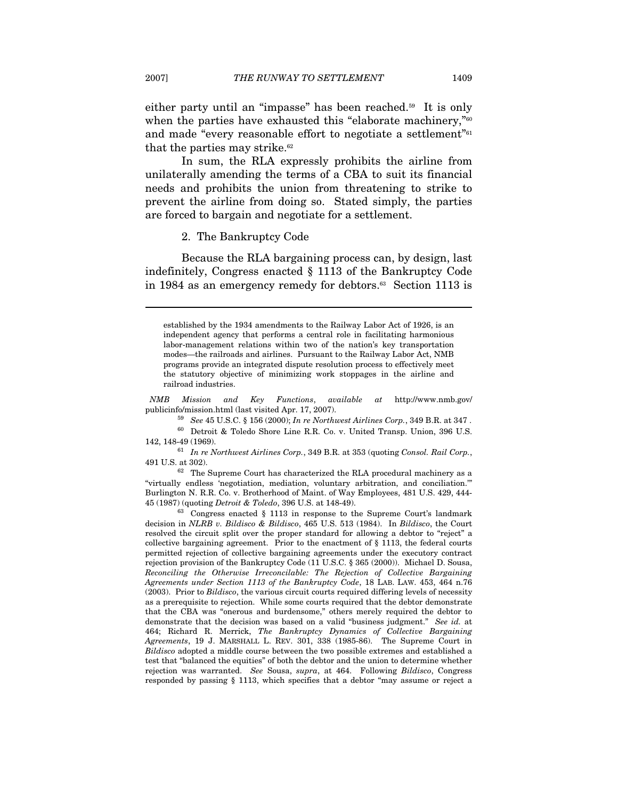either party until an "impasse" has been reached.<sup>59</sup> It is only when the parties have exhausted this "elaborate machinery,"<sup>60</sup> and made "every reasonable effort to negotiate a settlement"<sup>61</sup> that the parties may strike.<sup>62</sup>

In sum, the RLA expressly prohibits the airline from unilaterally amending the terms of a CBA to suit its financial needs and prohibits the union from threatening to strike to prevent the airline from doing so. Stated simply, the parties are forced to bargain and negotiate for a settlement.

2. The Bankruptcy Code

Because the RLA bargaining process can, by design, last indefinitely, Congress enacted § 1113 of the Bankruptcy Code in 1984 as an emergency remedy for debtors.<sup>63</sup> Section 1113 is

NMB Mission and Key Functions, available at http://www.nmb.gov/

publicinfo/mission.html (last visited Apr. 17, 2007).<br>59 See 45 U.S.C. § 156 (2000); In re Northwest Airlines Corp., 349 B.R. at 347 .<br><sup>60</sup> Detroit & Toledo Shore Line R.R. Co. v. United Transp. Union, 396 U.S.

142, 148-49 (1969). 61 In re Northwest Airlines Corp., 349 B.R. at 353 (quoting Consol. Rail Corp.,

491 U.S. at 302).<br><sup>62</sup> The Supreme Court has characterized the RLA procedural machinery as a "virtually endless 'negotiation, mediation, voluntary arbitration, and conciliation.'" Burlington N. R.R. Co. v. Brotherhood of Maint. of Way Employees, 481 U.S. 429, 444- 45 (1987) (quoting *Detroit & Toledo*, 396 U.S. at 148-49).<br><sup>63</sup> Congress enacted § 1113 in response to the Supreme Court's landmark

decision in NLRB v. Bildisco & Bildisco, 465 U.S. 513 (1984). In Bildisco, the Court resolved the circuit split over the proper standard for allowing a debtor to "reject" a collective bargaining agreement. Prior to the enactment of § 1113, the federal courts permitted rejection of collective bargaining agreements under the executory contract rejection provision of the Bankruptcy Code (11 U.S.C. § 365 (2000)). Michael D. Sousa, Reconciling the Otherwise Irreconcilable: The Rejection of Collective Bargaining Agreements under Section 1113 of the Bankruptcy Code, 18 LAB. LAW. 453, 464 n.76 (2003). Prior to Bildisco, the various circuit courts required differing levels of necessity as a prerequisite to rejection. While some courts required that the debtor demonstrate that the CBA was "onerous and burdensome," others merely required the debtor to demonstrate that the decision was based on a valid "business judgment." See id. at 464; Richard R. Merrick, The Bankruptcy Dynamics of Collective Bargaining Agreements, 19 J. MARSHALL L. REV. 301, 338 (1985-86). The Supreme Court in Bildisco adopted a middle course between the two possible extremes and established a test that "balanced the equities" of both the debtor and the union to determine whether rejection was warranted. See Sousa, supra, at 464. Following Bildisco, Congress responded by passing § 1113, which specifies that a debtor "may assume or reject a

established by the 1934 amendments to the Railway Labor Act of 1926, is an independent agency that performs a central role in facilitating harmonious labor-management relations within two of the nation's key transportation modes—the railroads and airlines. Pursuant to the Railway Labor Act, NMB programs provide an integrated dispute resolution process to effectively meet the statutory objective of minimizing work stoppages in the airline and railroad industries.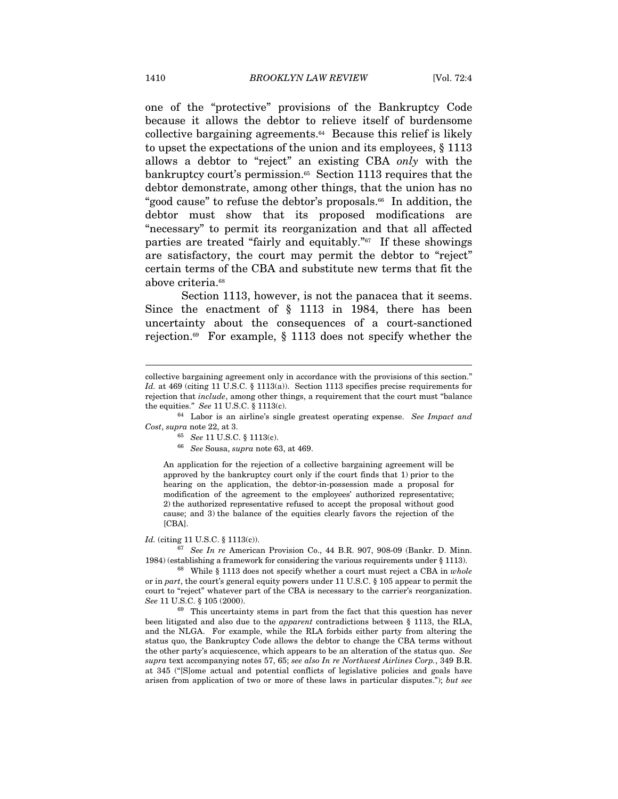one of the "protective" provisions of the Bankruptcy Code because it allows the debtor to relieve itself of burdensome collective bargaining agreements. $64$  Because this relief is likely to upset the expectations of the union and its employees, § 1113 allows a debtor to "reject" an existing CBA only with the bankruptcy court's permission.<sup>65</sup> Section 1113 requires that the debtor demonstrate, among other things, that the union has no "good cause" to refuse the debtor's proposals.<sup>66</sup> In addition, the debtor must show that its proposed modifications are "necessary" to permit its reorganization and that all affected parties are treated "fairly and equitably."67 If these showings are satisfactory, the court may permit the debtor to "reject" certain terms of the CBA and substitute new terms that fit the above criteria.<sup>68</sup>

Section 1113, however, is not the panacea that it seems. Since the enactment of § 1113 in 1984, there has been uncertainty about the consequences of a court-sanctioned rejection.69 For example, § 1113 does not specify whether the

Cost, supra note 22, at 3.<br>  $^{65}$  See 11 U.S.C. § 1113(c).<br>  $^{66}$  See Sousa, supra note 63, at 469.

An application for the rejection of a collective bargaining agreement will be approved by the bankruptcy court only if the court finds that 1) prior to the hearing on the application, the debtor-in-possession made a proposal for modification of the agreement to the employees' authorized representative; 2) the authorized representative refused to accept the proposal without good cause; and 3) the balance of the equities clearly favors the rejection of the [CBA].

Id. (citing 11 U.S.C. § 1113(c)). *67* See In re American Provision Co., 44 B.R. 907, 908-09 (Bankr. D. Minn. 1984) (establishing a framework for considering the various requirements under § 1113).<br><sup>68</sup> While § 1113 does not specify whether a court must reject a CBA in *whole* 

or in part, the court's general equity powers under 11 U.S.C. § 105 appear to permit the court to "reject" whatever part of the CBA is necessary to the carrier's reorganization.

See 11 U.S.C. § 105 (2000). 69 This uncertainty stems in part from the fact that this question has never been litigated and also due to the apparent contradictions between § 1113, the RLA, and the NLGA. For example, while the RLA forbids either party from altering the status quo, the Bankruptcy Code allows the debtor to change the CBA terms without the other party's acquiescence, which appears to be an alteration of the status quo. See supra text accompanying notes 57, 65; see also In re Northwest Airlines Corp., 349 B.R. at 345 ("[S]ome actual and potential conflicts of legislative policies and goals have arisen from application of two or more of these laws in particular disputes."); but see

collective bargaining agreement only in accordance with the provisions of this section." Id. at 469 (citing 11 U.S.C. § 1113(a)). Section 1113 specifies precise requirements for rejection that include, among other things, a requirement that the court must "balance the equities." See 11 U.S.C. § 1113(c).  $64$  Labor is an airline's single greatest operating expense. See Impact and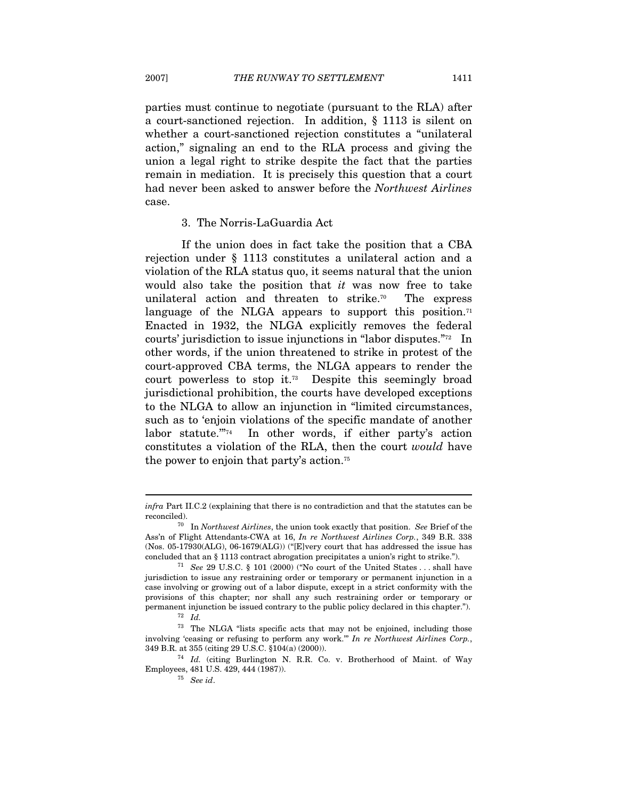parties must continue to negotiate (pursuant to the RLA) after a court-sanctioned rejection. In addition, § 1113 is silent on whether a court-sanctioned rejection constitutes a "unilateral action," signaling an end to the RLA process and giving the union a legal right to strike despite the fact that the parties remain in mediation. It is precisely this question that a court had never been asked to answer before the Northwest Airlines case.

#### 3. The Norris-LaGuardia Act

If the union does in fact take the position that a CBA rejection under § 1113 constitutes a unilateral action and a violation of the RLA status quo, it seems natural that the union would also take the position that *it* was now free to take unilateral action and threaten to strike.<sup>70</sup> The express language of the NLGA appears to support this position.<sup>71</sup> Enacted in 1932, the NLGA explicitly removes the federal courts' jurisdiction to issue injunctions in "labor disputes."72 In other words, if the union threatened to strike in protest of the court-approved CBA terms, the NLGA appears to render the court powerless to stop it.73 Despite this seemingly broad jurisdictional prohibition, the courts have developed exceptions to the NLGA to allow an injunction in "limited circumstances, such as to 'enjoin violations of the specific mandate of another labor statute."<sup>74</sup> In other words, if either party's action constitutes a violation of the RLA, then the court would have the power to enjoin that party's action.75

infra Part II.C.2 (explaining that there is no contradiction and that the statutes can be reconciled).<br><sup>70</sup> In Northwest Airlines, the union took exactly that position. See Brief of the

Ass'n of Flight Attendants-CWA at 16, In re Northwest Airlines Corp., 349 B.R. 338 (Nos. 05-17930(ALG), 06-1679(ALG)) ("[E]very court that has addressed the issue has concluded that an § 1113 contract abrogation precipitates a union's right to strike.").<br><sup>71</sup> See 29 U.S.C. § 101 (2000) ("No court of the United States . . . shall have

jurisdiction to issue any restraining order or temporary or permanent injunction in a case involving or growing out of a labor dispute, except in a strict conformity with the provisions of this chapter; nor shall any such restraining order or temporary or permanent injunction be issued contrary to the public policy declared in this chapter.").  $^{72}$  Id.

<sup>73</sup> The NLGA "lists specific acts that may not be enjoined, including those involving 'ceasing or refusing to perform any work.'" In re Northwest Airlines Corp., 349 B.R. at 355 (citing 29 U.S.C. §104(a) (2000)). 74 Id. (citing Burlington N. R.R. Co. v. Brotherhood of Maint. of Way

Employees, 481 U.S. 429, 444 (1987)).  $^{75}\,$  See id.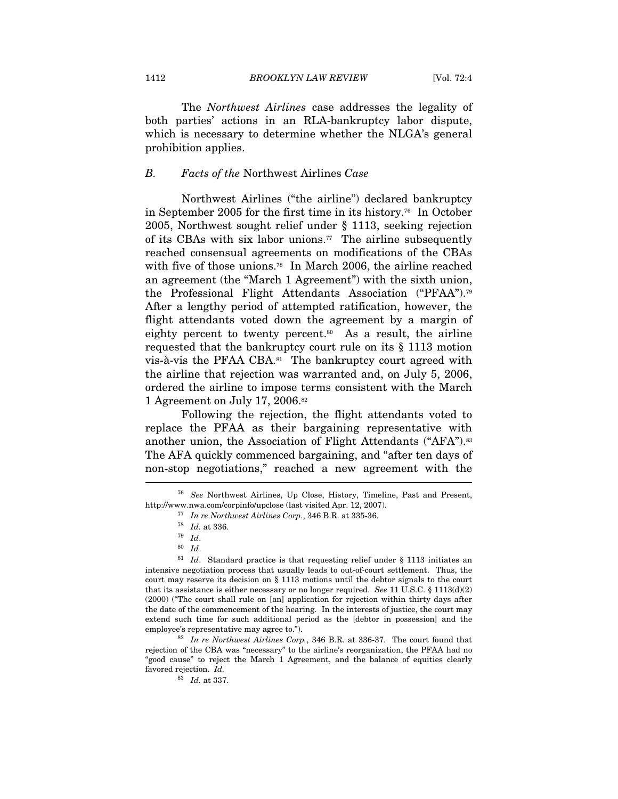The Northwest Airlines case addresses the legality of both parties' actions in an RLA-bankruptcy labor dispute, which is necessary to determine whether the NLGA's general prohibition applies.

#### B. Facts of the Northwest Airlines Case

Northwest Airlines ("the airline") declared bankruptcy in September 2005 for the first time in its history.76 In October 2005, Northwest sought relief under § 1113, seeking rejection of its CBAs with six labor unions.<sup>77</sup> The airline subsequently reached consensual agreements on modifications of the CBAs with five of those unions.78 In March 2006, the airline reached an agreement (the "March 1 Agreement") with the sixth union, the Professional Flight Attendants Association ("PFAA").79 After a lengthy period of attempted ratification, however, the flight attendants voted down the agreement by a margin of eighty percent to twenty percent.<sup>80</sup> As a result, the airline requested that the bankruptcy court rule on its § 1113 motion vis-à-vis the PFAA CBA.81 The bankruptcy court agreed with the airline that rejection was warranted and, on July 5, 2006, ordered the airline to impose terms consistent with the March 1 Agreement on July 17, 2006.82

Following the rejection, the flight attendants voted to replace the PFAA as their bargaining representative with another union, the Association of Flight Attendants ("AFA").<sup>83</sup> The AFA quickly commenced bargaining, and "after ten days of non-stop negotiations," reached a new agreement with the  $\overline{a}$ 

<sup>76</sup> See Northwest Airlines, Up Close, History, Timeline, Past and Present, http://www.nwa.com/corpinfo/upclose (last visited Apr. 12, 2007).<br>
<sup>77</sup> In re Northwest Airlines Corp., 346 B.R. at 335-36.<br>
<sup>78</sup> Id. at 336.<br>
<sup>80</sup> Id.

 $81$  Id. Standard practice is that requesting relief under § 1113 initiates an intensive negotiation process that usually leads to out-of-court settlement. Thus, the court may reserve its decision on § 1113 motions until the debtor signals to the court that its assistance is either necessary or no longer required. See 11 U.S.C.  $\S 1113(d)(2)$ (2000) ("The court shall rule on [an] application for rejection within thirty days after the date of the commencement of the hearing. In the interests of justice, the court may extend such time for such additional period as the [debtor in possession] and the employee's representative may agree to.").<br><sup>82</sup> In re Northwest Airlines Corp., 346 B.R. at 336-37. The court found that

rejection of the CBA was "necessary" to the airline's reorganization, the PFAA had no "good cause" to reject the March 1 Agreement, and the balance of equities clearly favored rejection. Id.

 $83$  Id. at 337.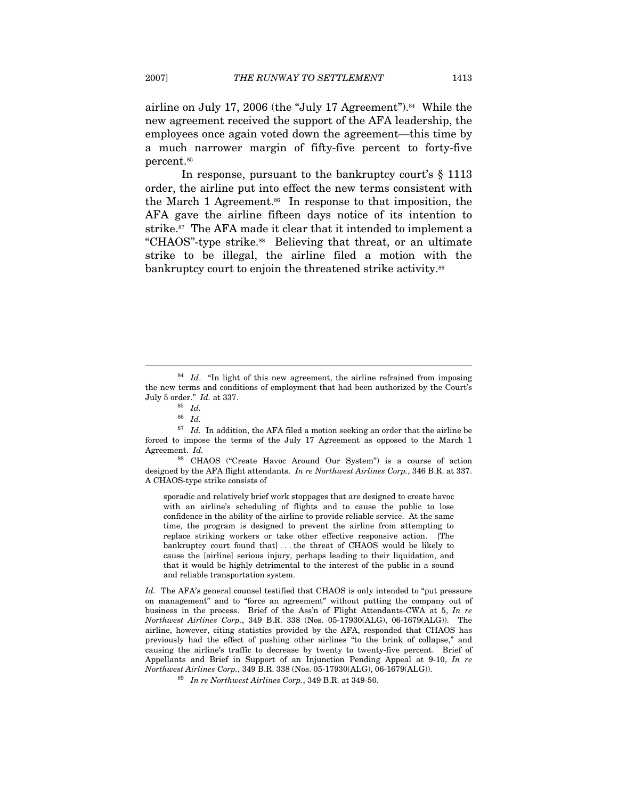airline on July 17, 2006 (the "July 17 Agreement").<sup>84</sup> While the new agreement received the support of the AFA leadership, the employees once again voted down the agreement—this time by a much narrower margin of fifty-five percent to forty-five percent.85

In response, pursuant to the bankruptcy court's § 1113 order, the airline put into effect the new terms consistent with the March 1 Agreement.<sup>86</sup> In response to that imposition, the AFA gave the airline fifteen days notice of its intention to strike.<sup>87</sup> The AFA made it clear that it intended to implement a "CHAOS"-type strike.88 Believing that threat, or an ultimate strike to be illegal, the airline filed a motion with the bankruptcy court to enjoin the threatened strike activity.<sup>89</sup>

 $\overline{a}$ 

designed by the AFA flight attendants. In re Northwest Airlines Corp., 346 B.R. at 337. A CHAOS-type strike consists of

sporadic and relatively brief work stoppages that are designed to create havoc with an airline's scheduling of flights and to cause the public to lose confidence in the ability of the airline to provide reliable service. At the same time, the program is designed to prevent the airline from attempting to replace striking workers or take other effective responsive action. [The bankruptcy court found that] . . . the threat of CHAOS would be likely to cause the [airline] serious injury, perhaps leading to their liquidation, and that it would be highly detrimental to the interest of the public in a sound and reliable transportation system.

Id. The AFA's general counsel testified that CHAOS is only intended to "put pressure" on management" and to "force an agreement" without putting the company out of business in the process. Brief of the Ass'n of Flight Attendants-CWA at 5, In re Northwest Airlines Corp., 349 B.R. 338 (Nos. 05-17930(ALG), 06-1679(ALG)). The airline, however, citing statistics provided by the AFA, responded that CHAOS has previously had the effect of pushing other airlines "to the brink of collapse," and causing the airline's traffic to decrease by twenty to twenty-five percent. Brief of Appellants and Brief in Support of an Injunction Pending Appeal at 9-10, In re Northwest Airlines Corp., 349 B.R. 338 (Nos. 05-17930(ALG), 06-1679(ALG)). 89 In re Northwest Airlines Corp., 349 B.R. at 349-50.

 $84$  *Id.* "In light of this new agreement, the airline refrained from imposing the new terms and conditions of employment that had been authorized by the Court's July 5 order."  $Id.$  at 337.<br><sup>85</sup>  $Id.$ 

<sup>86</sup> Id.

 $87$  *Id.* In addition, the AFA filed a motion seeking an order that the airline be forced to impose the terms of the July 17 Agreement as opposed to the March 1 Agreement. Id.<br><sup>88</sup> CHAOS ("Create Havoc Around Our System") is a course of action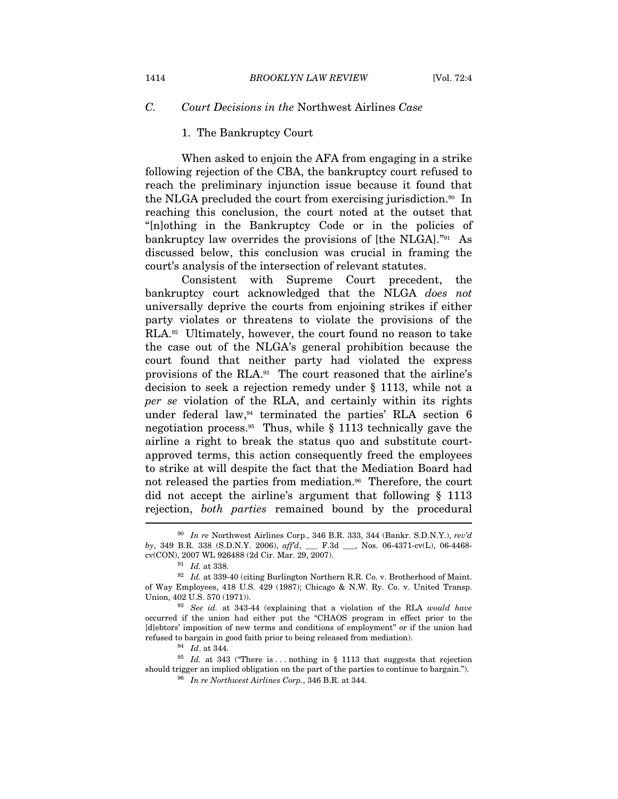#### C. Court Decisions in the Northwest Airlines Case

#### 1. The Bankruptcy Court

When asked to enjoin the AFA from engaging in a strike following rejection of the CBA, the bankruptcy court refused to reach the preliminary injunction issue because it found that the NLGA precluded the court from exercising jurisdiction.<sup>90</sup> In reaching this conclusion, the court noted at the outset that "[n]othing in the Bankruptcy Code or in the policies of bankruptcy law overrides the provisions of [the NLGA]."91 As discussed below, this conclusion was crucial in framing the court's analysis of the intersection of relevant statutes.

Consistent with Supreme Court precedent, the bankruptcy court acknowledged that the NLGA does not universally deprive the courts from enjoining strikes if either party violates or threatens to violate the provisions of the RLA.<sup>92</sup> Ultimately, however, the court found no reason to take the case out of the NLGA's general prohibition because the court found that neither party had violated the express provisions of the RLA.93 The court reasoned that the airline's decision to seek a rejection remedy under § 1113, while not a per se violation of the RLA, and certainly within its rights under federal law, $94$  terminated the parties' RLA section 6 negotiation process.<sup>95</sup> Thus, while  $\S$  1113 technically gave the airline a right to break the status quo and substitute courtapproved terms, this action consequently freed the employees to strike at will despite the fact that the Mediation Board had not released the parties from mediation.<sup>96</sup> Therefore, the court did not accept the airline's argument that following § 1113 rejection, both parties remained bound by the procedural

 $90$  In re Northwest Airlines Corp., 346 B.R. 333, 344 (Bankr. S.D.N.Y.), rev'd by, 349 B.R. 338 (S.D.N.Y. 2006),  $affd$ ,  $F.3d$   $...$  Nos. 06-4371-cv(L), 06-4468-cv(CON), 2007 WL 926488 (2d Cir. Mar. 29, 2007).

 $^{91}$   $\,$   $Id.$  at 338.  $^{92}$   $\,$   $Id.$  at 339-40 (citing Burlington Northern R.R. Co. v. Brotherhood of Maint. of Way Employees, 418 U.S. 429 (1987); Chicago & N.W. Ry. Co. v. United Transp. Union,  $402$  U.S. 570 (1971)).<br><sup>93</sup> See id. at 343-44 (explaining that a violation of the RLA *would have* 

occurred if the union had either put the "CHAOS program in effect prior to the [d]ebtors' imposition of new terms and conditions of employment" or if the union had

 $^{94}$   $\,$  Id. at 344.  $^{95}$   $\,$  Id. at 343 ("There is . . . nothing in § 1113 that suggests that rejection should trigger an implied obligation on the part of the parties to continue to bargain."). <sup>96</sup> In re Northwest Airlines Corp., 346 B.R. at 344.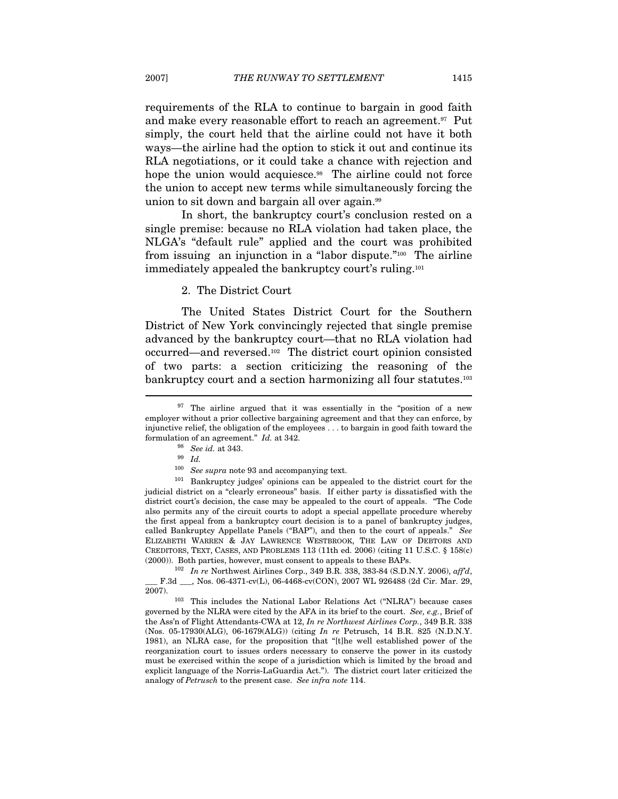requirements of the RLA to continue to bargain in good faith and make every reasonable effort to reach an agreement.<sup>97</sup> Put simply, the court held that the airline could not have it both ways—the airline had the option to stick it out and continue its RLA negotiations, or it could take a chance with rejection and hope the union would acquiesce.<sup>98</sup> The airline could not force the union to accept new terms while simultaneously forcing the union to sit down and bargain all over again.<sup>99</sup>

In short, the bankruptcy court's conclusion rested on a single premise: because no RLA violation had taken place, the NLGA's "default rule" applied and the court was prohibited from issuing an injunction in a "labor dispute."<sup>100</sup> The airline immediately appealed the bankruptcy court's ruling.101

2. The District Court

The United States District Court for the Southern District of New York convincingly rejected that single premise advanced by the bankruptcy court—that no RLA violation had occurred—and reversed.102 The district court opinion consisted of two parts: a section criticizing the reasoning of the bankruptcy court and a section harmonizing all four statutes.<sup>103</sup>

101 Bankruptcy judges' opinions can be appealed to the district court for the judicial district on a "clearly erroneous" basis. If either party is dissatisfied with the district court's decision, the case may be appealed to the court of appeals. "The Code also permits any of the circuit courts to adopt a special appellate procedure whereby the first appeal from a bankruptcy court decision is to a panel of bankruptcy judges, called Bankruptcy Appellate Panels ("BAP"), and then to the court of appeals." See ELIZABETH WARREN & JAY LAWRENCE WESTBROOK, THE LAW OF DEBTORS AND CREDITORS, TEXT, CASES, AND PROBLEMS 113 (11th ed. 2006) (citing 11 U.S.C. § 158(c)

(2000)). Both parties, however, must consent to appeals to these BAPs.<br> $102$  In re Northwest Airlines Corp., 349 B.R. 338, 383-84 (S.D.N.Y. 2006), aff'd, F.3d \_\_, Nos. 06-4371-cv(L), 06-4468-cv(CON), 2007 WL 926488 (2d Cir. Mar. 29,

2007). 103 This includes the National Labor Relations Act ("NLRA") because cases governed by the NLRA were cited by the AFA in its brief to the court. See, e.g., Brief of the Ass'n of Flight Attendants-CWA at 12, In re Northwest Airlines Corp., 349 B.R. 338 (Nos. 05-17930(ALG), 06-1679(ALG)) (citing In re Petrusch, 14 B.R. 825 (N.D.N.Y. 1981), an NLRA case, for the proposition that "[t]he well established power of the reorganization court to issues orders necessary to conserve the power in its custody must be exercised within the scope of a jurisdiction which is limited by the broad and explicit language of the Norris-LaGuardia Act."). The district court later criticized the analogy of Petrusch to the present case. See infra note 114.

 $97$  The airline argued that it was essentially in the "position of a new employer without a prior collective bargaining agreement and that they can enforce, by injunctive relief, the obligation of the employees . . . to bargain in good faith toward the formulation of an agreement." Id. at 342.<br>
<sup>98</sup> See id. at 343.<br>
<sup>99</sup> Id.

 $^{100}\,$  See supra note 93 and accompanying text.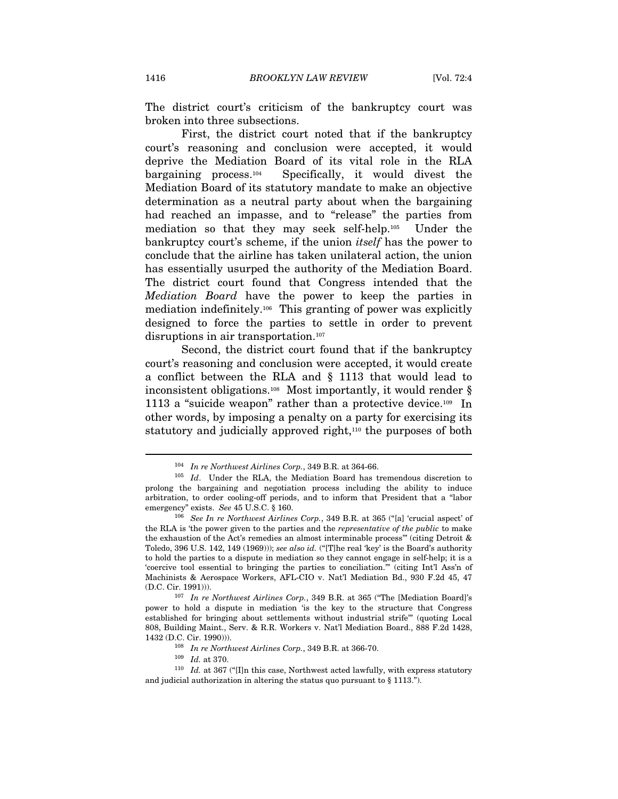The district court's criticism of the bankruptcy court was broken into three subsections.

First, the district court noted that if the bankruptcy court's reasoning and conclusion were accepted, it would deprive the Mediation Board of its vital role in the RLA bargaining process.104 Specifically, it would divest the Mediation Board of its statutory mandate to make an objective determination as a neutral party about when the bargaining had reached an impasse, and to "release" the parties from mediation so that they may seek self-help.105 Under the bankruptcy court's scheme, if the union *itself* has the power to conclude that the airline has taken unilateral action, the union has essentially usurped the authority of the Mediation Board. The district court found that Congress intended that the Mediation Board have the power to keep the parties in mediation indefinitely.106 This granting of power was explicitly designed to force the parties to settle in order to prevent disruptions in air transportation.107

Second, the district court found that if the bankruptcy court's reasoning and conclusion were accepted, it would create a conflict between the RLA and § 1113 that would lead to inconsistent obligations.108 Most importantly, it would render § 1113 a "suicide weapon" rather than a protective device.<sup>109</sup> In other words, by imposing a penalty on a party for exercising its statutory and judicially approved right,<sup>110</sup> the purposes of both

<sup>&</sup>lt;sup>104</sup> In re Northwest Airlines Corp., 349 B.R. at 364-66.<br><sup>105</sup> Id. Under the RLA, the Mediation Board has tremendous discretion to prolong the bargaining and negotiation process including the ability to induce arbitration, to order cooling-off periods, and to inform that President that a "labor emergency" exists. See 45 U.S.C. § 160.<br><sup>106</sup> See In re Northwest Airlines Corp., 349 B.R. at 365 ("[a] 'crucial aspect' of

the RLA is 'the power given to the parties and the representative of the public to make the exhaustion of the Act's remedies an almost interminable process'" (citing Detroit & Toledo, 396 U.S. 142, 149 (1969))); see also id. ("[T]he real 'key' is the Board's authority to hold the parties to a dispute in mediation so they cannot engage in self-help; it is a 'coercive tool essential to bringing the parties to conciliation.'" (citing Int'l Ass'n of Machinists & Aerospace Workers, AFL-CIO v. Nat'l Mediation Bd., 930 F.2d 45, 47 (D.C. Cir. 1991))).  $107$  In re Northwest Airlines Corp., 349 B.R. at 365 ("The [Mediation Board]'s

power to hold a dispute in mediation 'is the key to the structure that Congress established for bringing about settlements without industrial strife'" (quoting Local 808, Building Maint., Serv. & R.R. Workers v. Nat'l Mediation Board., 888 F.2d 1428,

<sup>%108</sup> In re Northwest Airlines Corp., 349 B.R. at 366-70.<br><sup>109</sup> Id. at 370. 109 Id. at 367 ("[I]n this case, Northwest acted lawfully, with express statutory and judicial authorization in altering the status quo pursuant to § 1113.").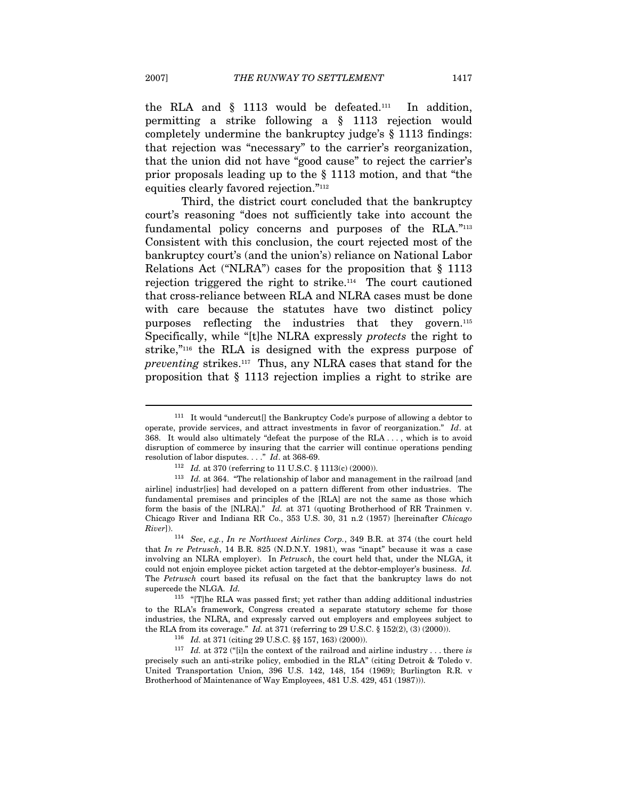the RLA and  $\S$  1113 would be defeated.<sup>111</sup> In addition, permitting a strike following a § 1113 rejection would completely undermine the bankruptcy judge's § 1113 findings: that rejection was "necessary" to the carrier's reorganization, that the union did not have "good cause" to reject the carrier's prior proposals leading up to the § 1113 motion, and that "the equities clearly favored rejection."112

Third, the district court concluded that the bankruptcy court's reasoning "does not sufficiently take into account the fundamental policy concerns and purposes of the RLA."<sup>113</sup> Consistent with this conclusion, the court rejected most of the bankruptcy court's (and the union's) reliance on National Labor Relations Act ("NLRA") cases for the proposition that § 1113 rejection triggered the right to strike.114 The court cautioned that cross-reliance between RLA and NLRA cases must be done with care because the statutes have two distinct policy purposes reflecting the industries that they govern.115 Specifically, while "[t]he NLRA expressly protects the right to strike,"116 the RLA is designed with the express purpose of preventing strikes.<sup>117</sup> Thus, any NLRA cases that stand for the proposition that § 1113 rejection implies a right to strike are

<sup>&</sup>lt;sup>111</sup> It would "undercut[] the Bankruptcy Code's purpose of allowing a debtor to operate, provide services, and attract investments in favor of reorganization." Id. at 368. It would also ultimately "defeat the purpose of the RLA . . . , which is to avoid disruption of commerce by insuring that the carrier will continue operations pending resolution of labor disputes. . . ." Id. at 368-69.<br><sup>112</sup> Id. at 370 (referring to 11 U.S.C. § 1113(c) (2000)).<br><sup>113</sup> Id. at 364. "The relationship of labor and management in the railroad [and

airline] industr[ies] had developed on a pattern different from other industries. The fundamental premises and principles of the [RLA] are not the same as those which form the basis of the [NLRA]." Id. at 371 (quoting Brotherhood of RR Trainmen v. Chicago River and Indiana RR Co., 353 U.S. 30, 31 n.2 (1957) [hereinafter Chicago River]).<br><sup>114</sup> See, e.g., *In re Northwest Airlines Corp.*, 349 B.R. at 374 (the court held

that In re Petrusch, 14 B.R. 825 (N.D.N.Y. 1981), was "inapt" because it was a case involving an NLRA employer). In Petrusch, the court held that, under the NLGA, it could not enjoin employee picket action targeted at the debtor-employer's business. Id. The Petrusch court based its refusal on the fact that the bankruptcy laws do not supercede the NLGA. Id.

<sup>115 &</sup>quot;[T]he RLA was passed first; yet rather than adding additional industries to the RLA's framework, Congress created a separate statutory scheme for those industries, the NLRA, and expressly carved out employers and employees subject to the RLA from its coverage." Id. at 371 (referring to 29 U.S.C. § 152(2), (3) (2000)).<br><sup>116</sup> Id. at 371 (citing 29 U.S.C. §§ 157, 163) (2000)).<br><sup>117</sup> Id. at 372 ("[i]n the context of the railroad and airline industry . . .

precisely such an anti-strike policy, embodied in the RLA" (citing Detroit & Toledo v. United Transportation Union, 396 U.S. 142, 148, 154 (1969); Burlington R.R. v Brotherhood of Maintenance of Way Employees, 481 U.S. 429, 451 (1987))).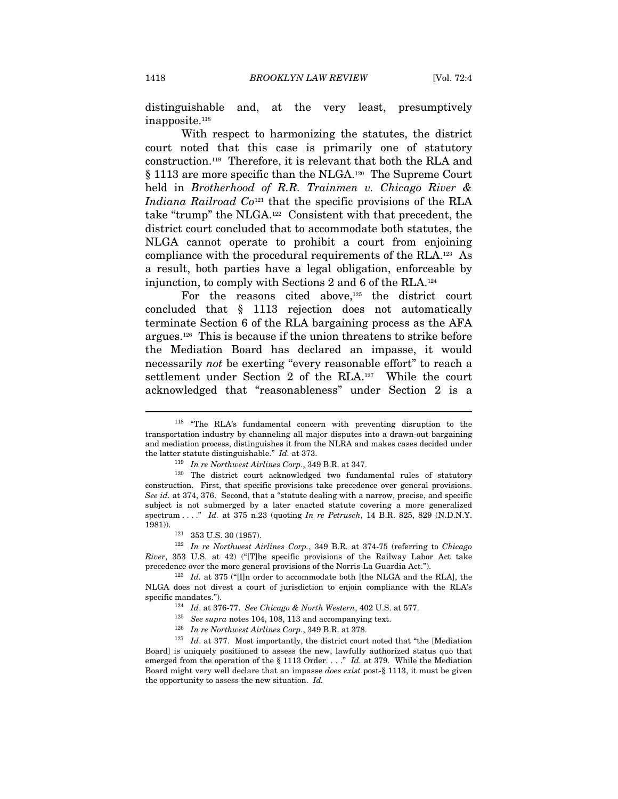distinguishable and, at the very least, presumptively inapposite.<sup>118</sup>

With respect to harmonizing the statutes, the district court noted that this case is primarily one of statutory construction.119 Therefore, it is relevant that both the RLA and § 1113 are more specific than the NLGA.120 The Supreme Court held in Brotherhood of R.R. Trainmen v. Chicago River & Indiana Railroad  $Co<sup>121</sup>$  that the specific provisions of the RLA take "trump" the NLGA.122 Consistent with that precedent, the district court concluded that to accommodate both statutes, the NLGA cannot operate to prohibit a court from enjoining compliance with the procedural requirements of the RLA.123 As a result, both parties have a legal obligation, enforceable by injunction, to comply with Sections 2 and 6 of the RLA.124

For the reasons cited above, $125$  the district court concluded that § 1113 rejection does not automatically terminate Section 6 of the RLA bargaining process as the AFA argues.126 This is because if the union threatens to strike before the Mediation Board has declared an impasse, it would necessarily not be exerting "every reasonable effort" to reach a settlement under Section 2 of the RLA.127 While the court acknowledged that "reasonableness" under Section 2 is a

River, 353 U.S. at 42) ("[T]he specific provisions of the Railway Labor Act take precedence over the more general provisions of the Norris-La Guardia Act.").<br><sup>123</sup> Id. at 375 ("[I]n order to accommodate both [the NLGA and the RLA], the

NLGA does not divest a court of jurisdiction to enjoin compliance with the RLA's specific mandates.").<br>
<sup>124</sup> *Id.* at 376-77. See Chicago & North Western, 402 U.S. at 577.<br>
<sup>125</sup> *See supra* notes 104, 108, 113 and accompanying text.<br>
<sup>126</sup> *In re Northwest Airlines Corp.*, 349 B.R. at 378.<br>
<sup>127</sup> *I* 

Board] is uniquely positioned to assess the new, lawfully authorized status quo that emerged from the operation of the § 1113 Order. . . ." Id. at 379. While the Mediation Board might very well declare that an impasse does exist post-§ 1113, it must be given the opportunity to assess the new situation. Id.

<sup>118 &</sup>quot;The RLA's fundamental concern with preventing disruption to the transportation industry by channeling all major disputes into a drawn-out bargaining and mediation process, distinguishes it from the NLRA and makes cases decided under the latter statute distinguishable."  $Id.$  at 373.

<sup>&</sup>lt;sup>119</sup> In re Northwest Airlines Corp., 349 B.R. at 347. 120 The district court acknowledged two fundamental rules of statutory construction. First, that specific provisions take precedence over general provisions. See id. at 374, 376. Second, that a "statute dealing with a narrow, precise, and specific subject is not submerged by a later enacted statute covering a more generalized spectrum  $\ldots$ ," Id. at 375 n.23 (quoting In re Petrusch, 14 B.R. 825, 829 (N.D.N.Y.) 1981)).<br><sup>121</sup> 353 U.S. 30 (1957).<br><sup>122</sup> In re Northwest Airlines Corp., 349 B.R. at 374-75 (referring to *Chicago*)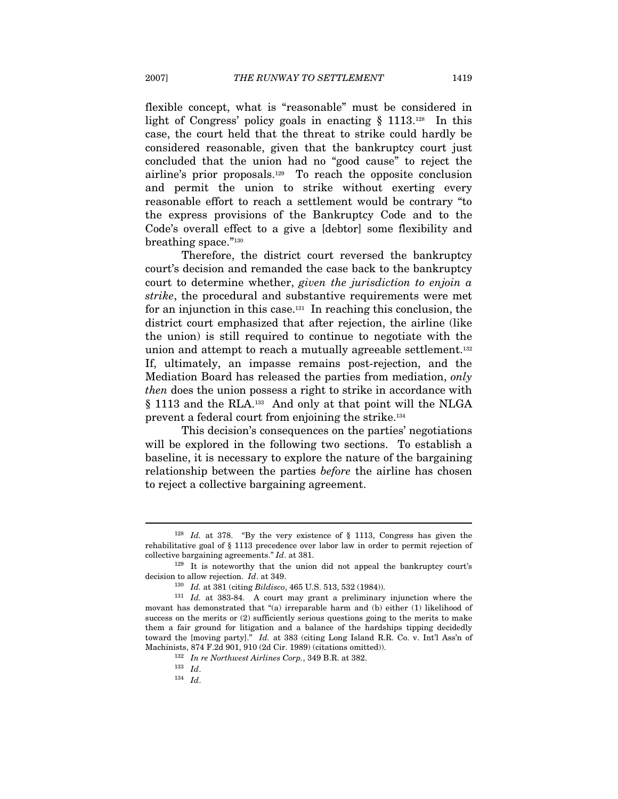flexible concept, what is "reasonable" must be considered in light of Congress' policy goals in enacting § 1113.128 In this case, the court held that the threat to strike could hardly be considered reasonable, given that the bankruptcy court just concluded that the union had no "good cause" to reject the airline's prior proposals.129 To reach the opposite conclusion and permit the union to strike without exerting every reasonable effort to reach a settlement would be contrary "to the express provisions of the Bankruptcy Code and to the Code's overall effect to a give a [debtor] some flexibility and breathing space."130

Therefore, the district court reversed the bankruptcy court's decision and remanded the case back to the bankruptcy court to determine whether, given the jurisdiction to enjoin a strike, the procedural and substantive requirements were met for an injunction in this case.131 In reaching this conclusion, the district court emphasized that after rejection, the airline (like the union) is still required to continue to negotiate with the union and attempt to reach a mutually agreeable settlement.<sup>132</sup> If, ultimately, an impasse remains post-rejection, and the Mediation Board has released the parties from mediation, only then does the union possess a right to strike in accordance with § 1113 and the RLA.<sup>133</sup> And only at that point will the NLGA prevent a federal court from enjoining the strike.134

This decision's consequences on the parties' negotiations will be explored in the following two sections. To establish a baseline, it is necessary to explore the nature of the bargaining relationship between the parties before the airline has chosen to reject a collective bargaining agreement.

<sup>&</sup>lt;sup>128</sup> Id. at 378. "By the very existence of  $\S$  1113, Congress has given the rehabilitative goal of § 1113 precedence over labor law in order to permit rejection of collective bargaining agreements."  $Id$ . at 381.<br><sup>129</sup> It is noteworthy that the union did not appeal the bankruptcy court's

decision to allow rejection. Id. at 349.

<sup>&</sup>lt;sup>130</sup> Id. at 381 (citing Bildisco, 465 U.S. 513, 532 (1984)).<br><sup>131</sup> Id. at 383-84. A court may grant a preliminary injunction where the movant has demonstrated that "(a) irreparable harm and (b) either (1) likelihood of success on the merits or (2) sufficiently serious questions going to the merits to make them a fair ground for litigation and a balance of the hardships tipping decidedly toward the [moving party]." Id. at 383 (citing Long Island R.R. Co. v. Int'l Ass'n of Machinists, 874 F.2d 901, 910 (2d Cir. 1989) (citations omitted)).<br>  $132$  In re Northwest Airlines Corp., 349 B.R. at 382.<br>  $133$  Id.<br>  $134$  Id.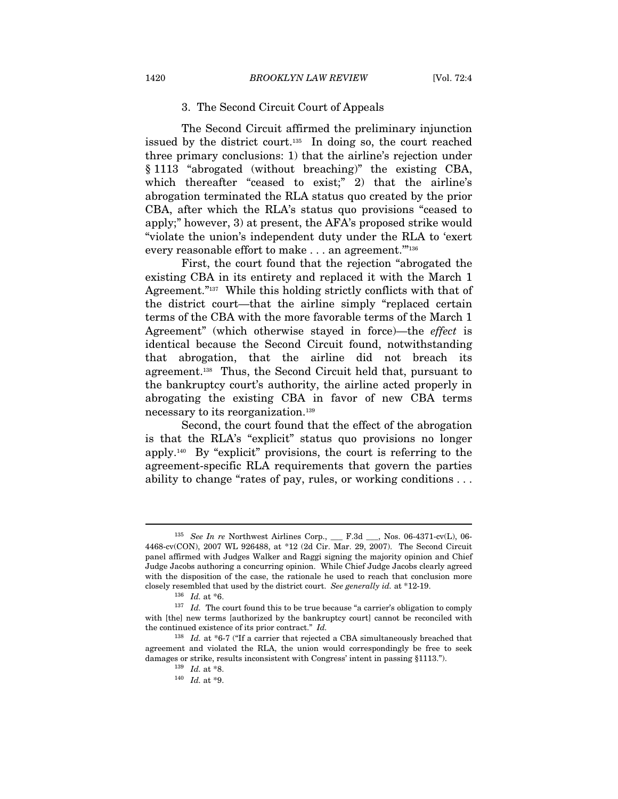#### 3. The Second Circuit Court of Appeals

The Second Circuit affirmed the preliminary injunction issued by the district court.135 In doing so, the court reached three primary conclusions: 1) that the airline's rejection under § 1113 "abrogated (without breaching)" the existing CBA, which thereafter "ceased to exist;" 2) that the airline's abrogation terminated the RLA status quo created by the prior CBA, after which the RLA's status quo provisions "ceased to apply;" however, 3) at present, the AFA's proposed strike would "violate the union's independent duty under the RLA to 'exert every reasonable effort to make . . . an agreement."<sup>136</sup>

First, the court found that the rejection "abrogated the existing CBA in its entirety and replaced it with the March 1 Agreement."<sup>137</sup> While this holding strictly conflicts with that of the district court—that the airline simply "replaced certain terms of the CBA with the more favorable terms of the March 1 Agreement" (which otherwise stayed in force)—the effect is identical because the Second Circuit found, notwithstanding that abrogation, that the airline did not breach its agreement.138 Thus, the Second Circuit held that, pursuant to the bankruptcy court's authority, the airline acted properly in abrogating the existing CBA in favor of new CBA terms necessary to its reorganization.139

Second, the court found that the effect of the abrogation is that the RLA's "explicit" status quo provisions no longer apply.140 By "explicit" provisions, the court is referring to the agreement-specific RLA requirements that govern the parties ability to change "rates of pay, rules, or working conditions . . .

<sup>&</sup>lt;sup>135</sup> See In re Northwest Airlines Corp., \_\_\_ F.3d \_\_\_, Nos. 06-4371-cv(L), 06-4468-cv(CON), 2007 WL 926488, at \*12 (2d Cir. Mar. 29, 2007). The Second Circuit panel affirmed with Judges Walker and Raggi signing the majority opinion and Chief Judge Jacobs authoring a concurring opinion. While Chief Judge Jacobs clearly agreed with the disposition of the case, the rationale he used to reach that conclusion more closely resembled that used by the district court. *See generally id.* at \*12-19.<br><sup>136</sup> Id. at \*6. <sup>137</sup> Id. The court found this to be true because "a carrier's obligation to comply

with [the] new terms [authorized by the bankruptcy court] cannot be reconciled with the continued existence of its prior contract." Id.

 $^{138}$   $\,$  Id. at \*6-7 ("If a carrier that rejected a CBA simultaneously breached that agreement and violated the RLA, the union would correspondingly be free to seek damages or strike, results inconsistent with Congress' intent in passing §1113.").<br><sup>139</sup> Id. at \*8. <sup>140</sup> Id. at \*9.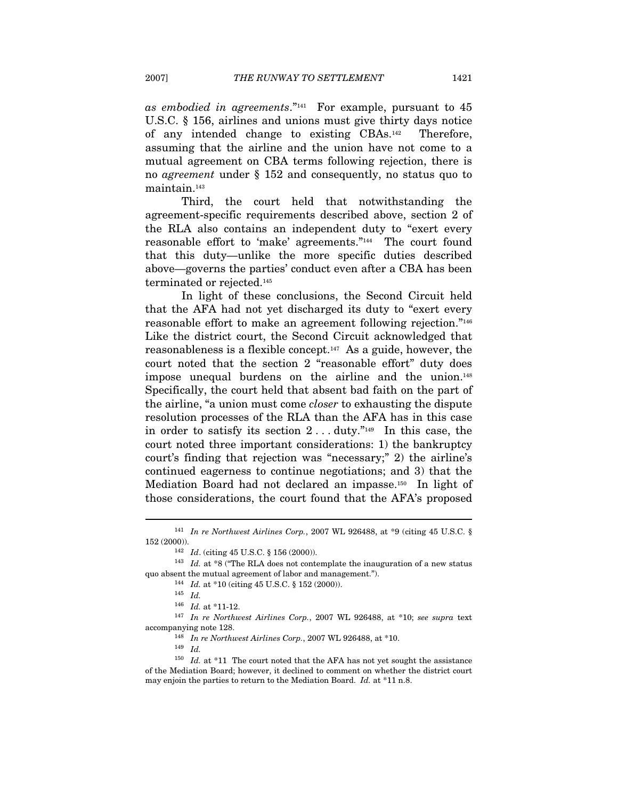as embodied in agreements."<sup>141</sup> For example, pursuant to 45 U.S.C. § 156, airlines and unions must give thirty days notice of any intended change to existing CBAs.142 Therefore, assuming that the airline and the union have not come to a mutual agreement on CBA terms following rejection, there is no agreement under § 152 and consequently, no status quo to maintain.143

Third, the court held that notwithstanding the agreement-specific requirements described above, section 2 of the RLA also contains an independent duty to "exert every reasonable effort to 'make' agreements."144 The court found that this duty—unlike the more specific duties described above—governs the parties' conduct even after a CBA has been terminated or rejected.145

In light of these conclusions, the Second Circuit held that the AFA had not yet discharged its duty to "exert every reasonable effort to make an agreement following rejection."146 Like the district court, the Second Circuit acknowledged that reasonableness is a flexible concept.147 As a guide, however, the court noted that the section 2 "reasonable effort" duty does impose unequal burdens on the airline and the union.148 Specifically, the court held that absent bad faith on the part of the airline, "a union must come closer to exhausting the dispute resolution processes of the RLA than the AFA has in this case in order to satisfy its section  $2 \ldots$  duty."<sup>149</sup> In this case, the court noted three important considerations: 1) the bankruptcy court's finding that rejection was "necessary;" 2) the airline's continued eagerness to continue negotiations; and 3) that the Mediation Board had not declared an impasse.150 In light of those considerations, the court found that the AFA's proposed

 $\overline{a}$ 

 $147$  In re Northwest Airlines Corp., 2007 WL 926488, at \*10; see supra text accompanying note 128.<br>
<sup>148</sup> In re Northwest Airlines Corp., 2007 WL 926488, at \*10.<br>
<sup>149</sup> Id.

<sup>141</sup> In re Northwest Airlines Corp., 2007 WL 926488, at \*9 (citing 45 U.S.C. §

<sup>152 (2000)). 142</sup> Id. (citing 45 U.S.C. § 156 (2000)). 143 Id. at \*8 ("The RLA does not contemplate the inauguration of a new status quo absent the mutual agreement of labor and management.").<br>  $^{144}$  Id. at \*10 (citing 45 U.S.C. § 152 (2000)).<br>  $^{145}$  Id. at \*11-12.

 $150$  *Id.* at \*11 The court noted that the AFA has not yet sought the assistance of the Mediation Board; however, it declined to comment on whether the district court may enjoin the parties to return to the Mediation Board. Id. at \*11 n.8.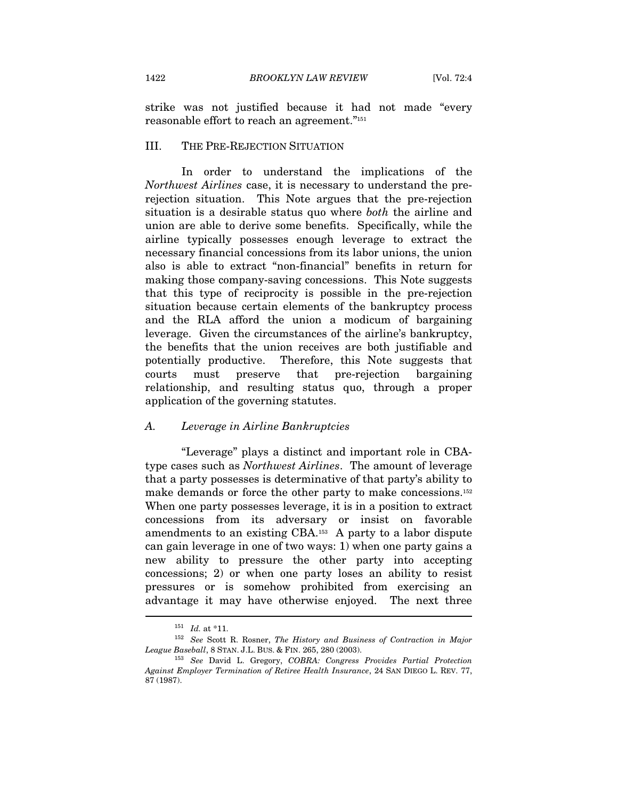strike was not justified because it had not made "every reasonable effort to reach an agreement."151

#### III. THE PRE-REJECTION SITUATION

In order to understand the implications of the Northwest Airlines case, it is necessary to understand the prerejection situation. This Note argues that the pre-rejection situation is a desirable status quo where both the airline and union are able to derive some benefits. Specifically, while the airline typically possesses enough leverage to extract the necessary financial concessions from its labor unions, the union also is able to extract "non-financial" benefits in return for making those company-saving concessions. This Note suggests that this type of reciprocity is possible in the pre-rejection situation because certain elements of the bankruptcy process and the RLA afford the union a modicum of bargaining leverage. Given the circumstances of the airline's bankruptcy, the benefits that the union receives are both justifiable and potentially productive. Therefore, this Note suggests that courts must preserve that pre-rejection bargaining relationship, and resulting status quo, through a proper application of the governing statutes.

### A. Leverage in Airline Bankruptcies

"Leverage" plays a distinct and important role in CBAtype cases such as Northwest Airlines. The amount of leverage that a party possesses is determinative of that party's ability to make demands or force the other party to make concessions.152 When one party possesses leverage, it is in a position to extract concessions from its adversary or insist on favorable amendments to an existing CBA.153 A party to a labor dispute can gain leverage in one of two ways: 1) when one party gains a new ability to pressure the other party into accepting concessions; 2) or when one party loses an ability to resist pressures or is somehow prohibited from exercising an advantage it may have otherwise enjoyed. The next three  $\overline{a}$ 

<sup>&</sup>lt;sup>151</sup> Id. at  $*11$ .<br><sup>152</sup> See Scott R. Rosner, *The History and Business of Contraction in Major* League Baseball, 8 STAN. J.L. BUS. & FIN. 265, 280 (2003). 153 See David L. Gregory, COBRA: Congress Provides Partial Protection

Against Employer Termination of Retiree Health Insurance, 24 SAN DIEGO L. REV. 77, 87 (1987).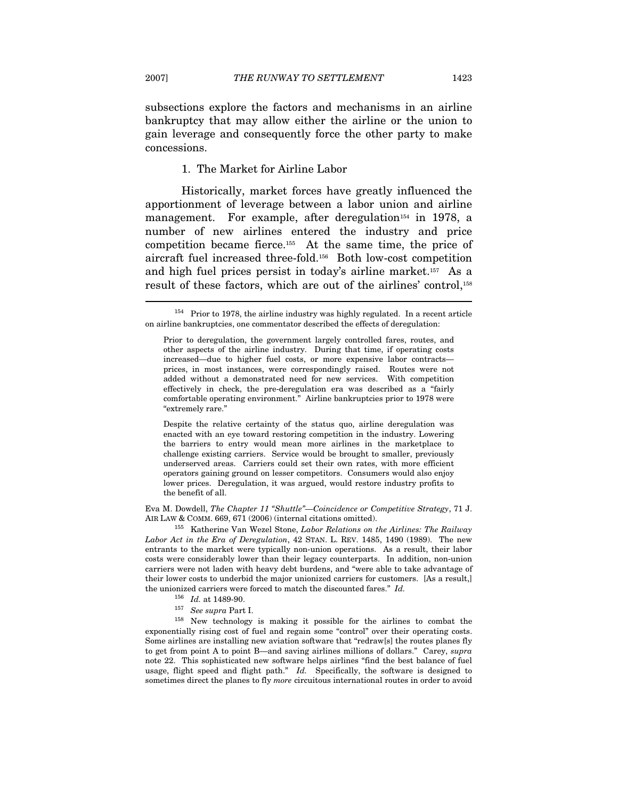subsections explore the factors and mechanisms in an airline bankruptcy that may allow either the airline or the union to gain leverage and consequently force the other party to make concessions.

#### 1. The Market for Airline Labor

Historically, market forces have greatly influenced the apportionment of leverage between a labor union and airline management. For example, after deregulation<sup>154</sup> in 1978, a number of new airlines entered the industry and price competition became fierce.155 At the same time, the price of aircraft fuel increased three-fold.156 Both low-cost competition and high fuel prices persist in today's airline market.157 As a result of these factors, which are out of the airlines' control,<sup>158</sup>  $\overline{a}$ 

Despite the relative certainty of the status quo, airline deregulation was enacted with an eye toward restoring competition in the industry. Lowering the barriers to entry would mean more airlines in the marketplace to challenge existing carriers. Service would be brought to smaller, previously underserved areas. Carriers could set their own rates, with more efficient operators gaining ground on lesser competitors. Consumers would also enjoy lower prices. Deregulation, it was argued, would restore industry profits to the benefit of all.

Eva M. Dowdell, The Chapter 11 "Shuttle"—Coincidence or Competitive Strategy, 71 J. AIR LAW & COMM. 669, 671 (2006) (internal citations omitted). 155 Katherine Van Wezel Stone, Labor Relations on the Airlines: The Railway

Labor Act in the Era of Deregulation, 42 STAN. L. REV. 1485, 1490 (1989). The new entrants to the market were typically non-union operations. As a result, their labor costs were considerably lower than their legacy counterparts. In addition, non-union carriers were not laden with heavy debt burdens, and "were able to take advantage of their lower costs to underbid the major unionized carriers for customers. [As a result,]

- -

the unionized carriers were forced to match the discounted fares." Id.  $156$  Id. at 1489-90.<br><sup>157</sup> See supra Part I. <sup>158</sup> New technology is making it possible for the airlines to combat the exponentially rising cost of fuel and regain some "control" over their operating costs. Some airlines are installing new aviation software that "redraw[s] the routes planes fly to get from point A to point B—and saving airlines millions of dollars." Carey, supra note 22. This sophisticated new software helps airlines "find the best balance of fuel usage, flight speed and flight path." Id. Specifically, the software is designed to sometimes direct the planes to fly more circuitous international routes in order to avoid

<sup>154</sup> Prior to 1978, the airline industry was highly regulated. In a recent article on airline bankruptcies, one commentator described the effects of deregulation:

Prior to deregulation, the government largely controlled fares, routes, and other aspects of the airline industry. During that time, if operating costs increased—due to higher fuel costs, or more expensive labor contracts prices, in most instances, were correspondingly raised. Routes were not added without a demonstrated need for new services. With competition effectively in check, the pre-deregulation era was described as a "fairly comfortable operating environment." Airline bankruptcies prior to 1978 were "extremely rare."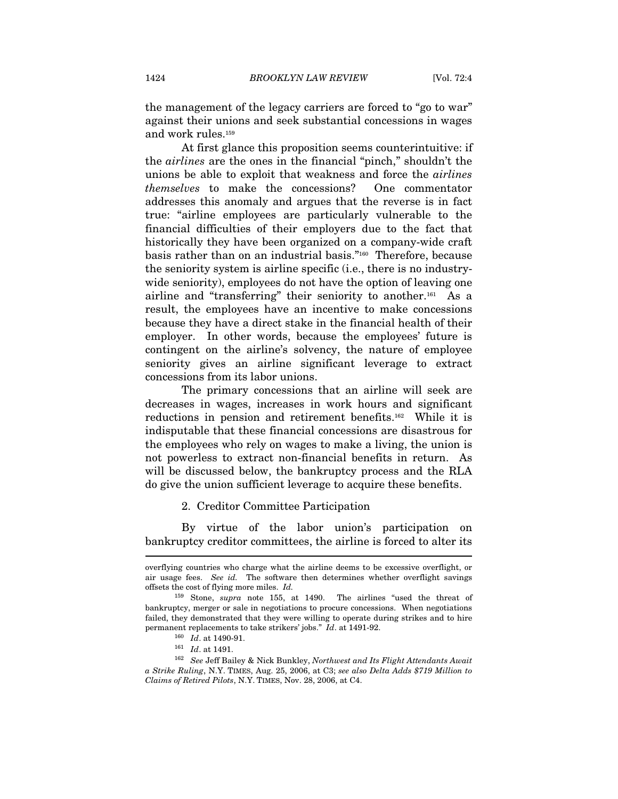the management of the legacy carriers are forced to "go to war" against their unions and seek substantial concessions in wages and work rules.159

At first glance this proposition seems counterintuitive: if the airlines are the ones in the financial "pinch," shouldn't the unions be able to exploit that weakness and force the airlines themselves to make the concessions? One commentator addresses this anomaly and argues that the reverse is in fact true: "airline employees are particularly vulnerable to the financial difficulties of their employers due to the fact that historically they have been organized on a company-wide craft basis rather than on an industrial basis."160 Therefore, because the seniority system is airline specific (i.e., there is no industrywide seniority), employees do not have the option of leaving one airline and "transferring" their seniority to another.161 As a result, the employees have an incentive to make concessions because they have a direct stake in the financial health of their employer. In other words, because the employees' future is contingent on the airline's solvency, the nature of employee seniority gives an airline significant leverage to extract concessions from its labor unions.

The primary concessions that an airline will seek are decreases in wages, increases in work hours and significant reductions in pension and retirement benefits.162 While it is indisputable that these financial concessions are disastrous for the employees who rely on wages to make a living, the union is not powerless to extract non-financial benefits in return. As will be discussed below, the bankruptcy process and the RLA do give the union sufficient leverage to acquire these benefits.

#### 2. Creditor Committee Participation

By virtue of the labor union's participation on bankruptcy creditor committees, the airline is forced to alter its

overflying countries who charge what the airline deems to be excessive overflight, or air usage fees. See id. The software then determines whether overflight savings offsets the cost of flying more miles. Id.

<sup>159</sup> Stone, supra note 155, at 1490. The airlines "used the threat of bankruptcy, merger or sale in negotiations to procure concessions. When negotiations failed, they demonstrated that they were willing to operate during strikes and to hire permanent replacements to take strikers' jobs."  $Id$ . at 1491-92.

<sup>&</sup>lt;sup>160</sup> Id. at 1490-91.<br><sup>161</sup> Id. at 1491.<br><sup>162</sup> See Jeff Bailey & Nick Bunkley, *Northwest and Its Flight Attendants Await* a Strike Ruling, N.Y. TIMES, Aug. 25, 2006, at C3; see also Delta Adds \$719 Million to Claims of Retired Pilots, N.Y. TIMES, Nov. 28, 2006, at C4.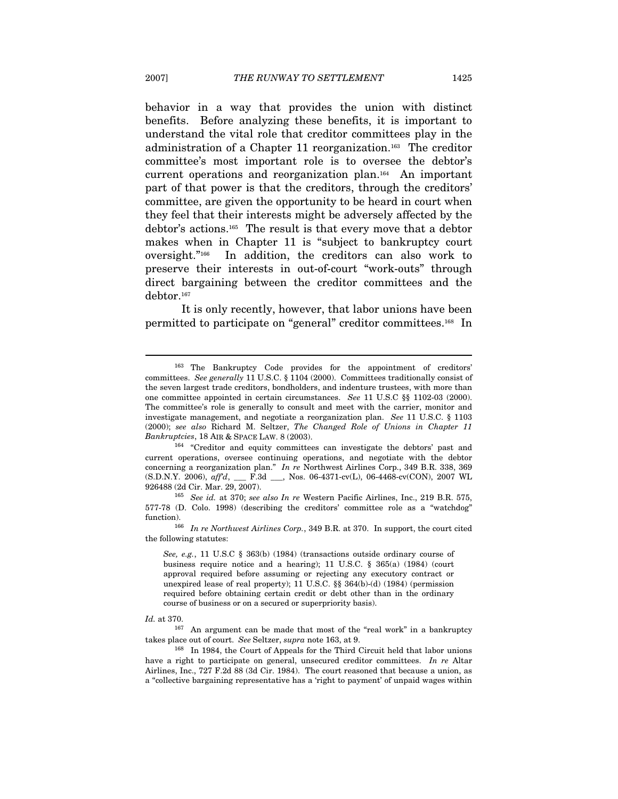behavior in a way that provides the union with distinct benefits. Before analyzing these benefits, it is important to understand the vital role that creditor committees play in the administration of a Chapter 11 reorganization.163 The creditor committee's most important role is to oversee the debtor's current operations and reorganization plan.164 An important part of that power is that the creditors, through the creditors' committee, are given the opportunity to be heard in court when they feel that their interests might be adversely affected by the debtor's actions.165 The result is that every move that a debtor makes when in Chapter 11 is "subject to bankruptcy court oversight."166 In addition, the creditors can also work to preserve their interests in out-of-court "work-outs" through direct bargaining between the creditor committees and the debtor.167

It is only recently, however, that labor unions have been permitted to participate on "general" creditor committees.168 In

current operations, oversee continuing operations, and negotiate with the debtor concerning a reorganization plan." In re Northwest Airlines Corp., 349 B.R. 338, 369 (S.D.N.Y. 2006), aff'd, \_\_\_ F.3d \_\_\_, Nos. 06-4371-cv(L), 06-4468-cv(CON), 2007 WL 926488 (2d Cir. Mar. 29, 2007). 165 See id. at 370; see also In re Western Pacific Airlines, Inc., 219 B.R. 575,

577-78 (D. Colo. 1998) (describing the creditors' committee role as a "watchdog"

 $166$  In re Northwest Airlines Corp., 349 B.R. at 370. In support, the court cited the following statutes:

See, e.g., 11 U.S.C § 363(b) (1984) (transactions outside ordinary course of business require notice and a hearing); 11 U.S.C. § 365(a) (1984) (court approval required before assuming or rejecting any executory contract or unexpired lease of real property); 11 U.S.C. §§ 364(b)-(d) (1984) (permission required before obtaining certain credit or debt other than in the ordinary course of business or on a secured or superpriority basis).

*Id.* at 370. 167 An argument can be made that most of the "real work" in a bankruptcy takes place out of court. See Seltzer, supra note 163, at 9.<br><sup>168</sup> In 1984, the Court of Appeals for the Third Circuit held that labor unions

have a right to participate on general, unsecured creditor committees. In re Altar Airlines, Inc., 727 F.2d 88 (3d Cir. 1984). The court reasoned that because a union, as a "collective bargaining representative has a 'right to payment' of unpaid wages within

<sup>163</sup> The Bankruptcy Code provides for the appointment of creditors' committees. See generally 11 U.S.C. § 1104 (2000). Committees traditionally consist of the seven largest trade creditors, bondholders, and indenture trustees, with more than one committee appointed in certain circumstances. See 11 U.S.C §§ 1102-03 (2000). The committee's role is generally to consult and meet with the carrier, monitor and investigate management, and negotiate a reorganization plan. See 11 U.S.C. § 1103 (2000); see also Richard M. Seltzer, The Changed Role of Unions in Chapter 11 Bankruptcies, 18 AIR & SPACE LAW. 8 (2003).<br><sup>164</sup> "Creditor and equity committees can investigate the debtors' past and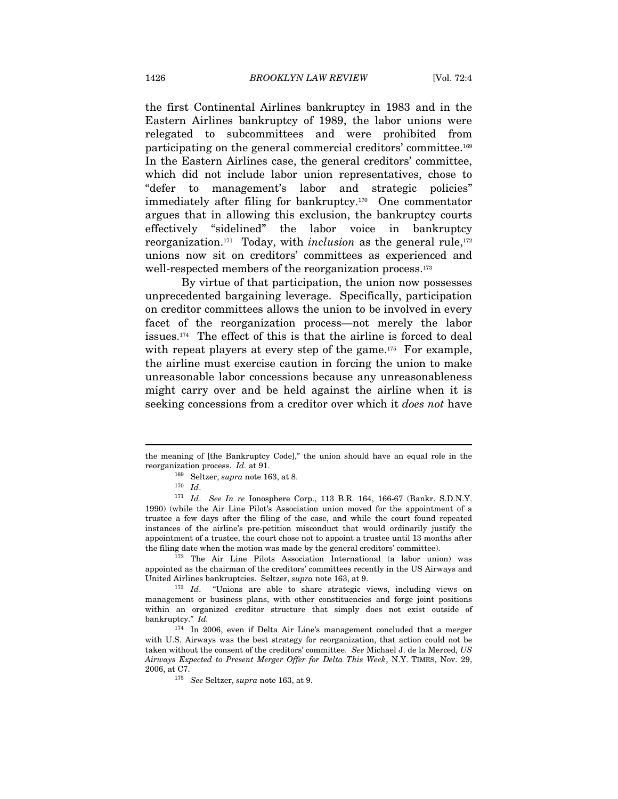the first Continental Airlines bankruptcy in 1983 and in the Eastern Airlines bankruptcy of 1989, the labor unions were relegated to subcommittees and were prohibited from participating on the general commercial creditors' committee.169 In the Eastern Airlines case, the general creditors' committee, which did not include labor union representatives, chose to "defer to management's labor and strategic policies" immediately after filing for bankruptcy.170 One commentator argues that in allowing this exclusion, the bankruptcy courts effectively "sidelined" the labor voice in bankruptcy reorganization.<sup>171</sup> Today, with *inclusion* as the general rule,<sup>172</sup> unions now sit on creditors' committees as experienced and well-respected members of the reorganization process.<sup>173</sup>

By virtue of that participation, the union now possesses unprecedented bargaining leverage. Specifically, participation on creditor committees allows the union to be involved in every facet of the reorganization process—not merely the labor issues.174 The effect of this is that the airline is forced to deal with repeat players at every step of the game.<sup>175</sup> For example, the airline must exercise caution in forcing the union to make unreasonable labor concessions because any unreasonableness might carry over and be held against the airline when it is seeking concessions from a creditor over which it *does not* have

the meaning of [the Bankruptcy Code]," the union should have an equal role in the reorganization process. Id. at 91.<br><sup>169</sup> Seltzer, *supra* note 163, at 8.  $\frac{170}{Id}$ .<br><sup>171</sup> Id. See In re Ionosphere Corp., 113 B.R. 164, 166-67 (Bankr. S.D.N.Y.

<sup>1990) (</sup>while the Air Line Pilot's Association union moved for the appointment of a trustee a few days after the filing of the case, and while the court found repeated instances of the airline's pre-petition misconduct that would ordinarily justify the appointment of a trustee, the court chose not to appoint a trustee until 13 months after the filing date when the motion was made by the general creditors' committee).<br><sup>172</sup> The Air Line Pilots Association International (a labor union) was

appointed as the chairman of the creditors' committees recently in the US Airways and United Airlines bankruptcies. Seltzer, *supra* note 163, at 9. <sup>173</sup> Id. "Unions are able to share strategic views, including views on

management or business plans, with other constituencies and forge joint positions within an organized creditor structure that simply does not exist outside of bankruptcy." Id.

<sup>174</sup> In 2006, even if Delta Air Line's management concluded that a merger with U.S. Airways was the best strategy for reorganization, that action could not be taken without the consent of the creditors' committee. See Michael J. de la Merced, US Airways Expected to Present Merger Offer for Delta This Week, N.Y. TIMES, Nov. 29, 2006, at C7.  $\frac{175}{175}$  See Seltzer, supra note 163, at 9.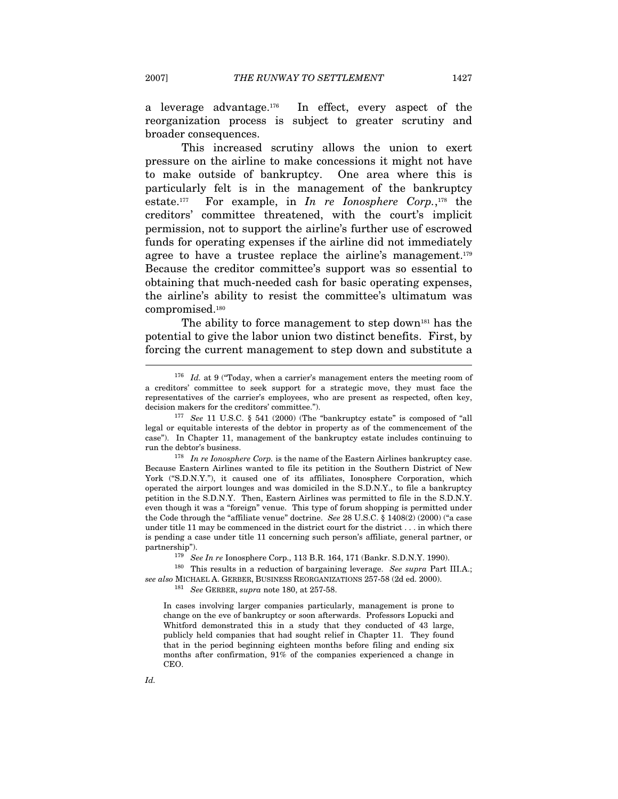a leverage advantage.176 In effect, every aspect of the reorganization process is subject to greater scrutiny and broader consequences.

This increased scrutiny allows the union to exert pressure on the airline to make concessions it might not have to make outside of bankruptcy. One area where this is particularly felt is in the management of the bankruptcy estate.<sup>177</sup> For example, in In re Ionosphere Corp.,<sup>178</sup> the creditors' committee threatened, with the court's implicit permission, not to support the airline's further use of escrowed funds for operating expenses if the airline did not immediately agree to have a trustee replace the airline's management.179 Because the creditor committee's support was so essential to obtaining that much-needed cash for basic operating expenses, the airline's ability to resist the committee's ultimatum was compromised.180

The ability to force management to step down<sup>181</sup> has the potential to give the labor union two distinct benefits. First, by forcing the current management to step down and substitute a

In cases involving larger companies particularly, management is prone to change on the eve of bankruptcy or soon afterwards. Professors Lopucki and Whitford demonstrated this in a study that they conducted of 43 large, publicly held companies that had sought relief in Chapter 11. They found that in the period beginning eighteen months before filing and ending six months after confirmation, 91% of the companies experienced a change in CEO.

 $176$  *Id.* at 9 ("Today, when a carrier's management enters the meeting room of a creditors' committee to seek support for a strategic move, they must face the representatives of the carrier's employees, who are present as respected, often key, decision makers for the creditors' committee.").<br> $^{177}$  See 11 U.S.C. § 541 (2000) (The "bankruptcy estate" is composed of "all

legal or equitable interests of the debtor in property as of the commencement of the case"). In Chapter 11, management of the bankruptcy estate includes continuing to run the debtor's business.<br><sup>178</sup> In re Ionosphere Corp. is the name of the Eastern Airlines bankruptcy case.

Because Eastern Airlines wanted to file its petition in the Southern District of New York ("S.D.N.Y."), it caused one of its affiliates, Ionosphere Corporation, which operated the airport lounges and was domiciled in the S.D.N.Y., to file a bankruptcy petition in the S.D.N.Y. Then, Eastern Airlines was permitted to file in the S.D.N.Y. even though it was a "foreign" venue. This type of forum shopping is permitted under the Code through the "affiliate venue" doctrine. See 28 U.S.C. § 1408(2) (2000) ("a case under title 11 may be commenced in the district court for the district . . . in which there is pending a case under title 11 concerning such person's affiliate, general partner, or

partnership"). 179 See In re Ionosphere Corp., 113 B.R. 164, 171 (Bankr. S.D.N.Y. 1990). 180 This results in a reduction of bargaining leverage. See supra Part III.A.; see also MICHAEL A. GERBER, BUSINESS REORGANIZATIONS 257-58 (2d ed. 2000).<br><sup>181</sup> See GERBER, supra note 180, at 257-58.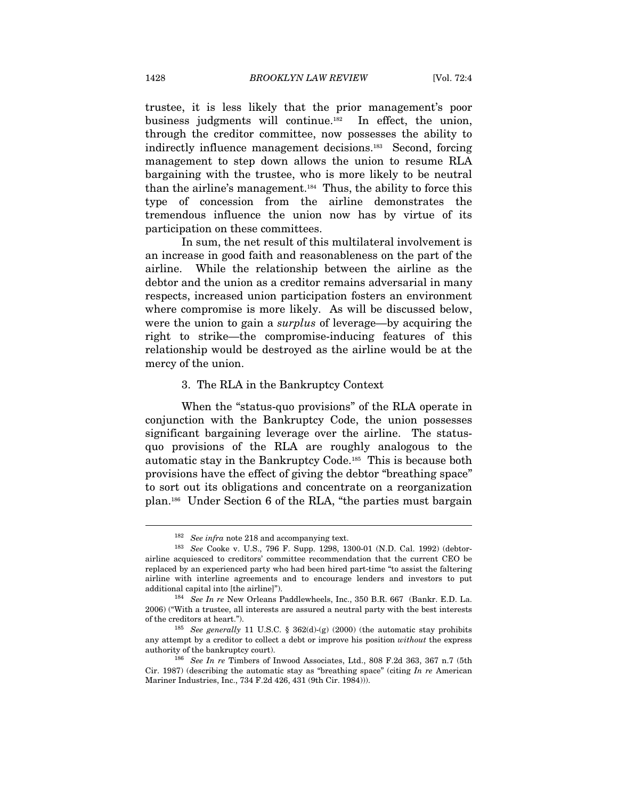trustee, it is less likely that the prior management's poor business judgments will continue.182 In effect, the union, through the creditor committee, now possesses the ability to indirectly influence management decisions.183 Second, forcing management to step down allows the union to resume RLA bargaining with the trustee, who is more likely to be neutral than the airline's management.184 Thus, the ability to force this type of concession from the airline demonstrates the tremendous influence the union now has by virtue of its participation on these committees.

In sum, the net result of this multilateral involvement is an increase in good faith and reasonableness on the part of the airline. While the relationship between the airline as the debtor and the union as a creditor remains adversarial in many respects, increased union participation fosters an environment where compromise is more likely. As will be discussed below, were the union to gain a surplus of leverage—by acquiring the right to strike—the compromise-inducing features of this relationship would be destroyed as the airline would be at the mercy of the union.

#### 3. The RLA in the Bankruptcy Context

When the "status-quo provisions" of the RLA operate in conjunction with the Bankruptcy Code, the union possesses significant bargaining leverage over the airline. The statusquo provisions of the RLA are roughly analogous to the automatic stay in the Bankruptcy Code.185 This is because both provisions have the effect of giving the debtor "breathing space" to sort out its obligations and concentrate on a reorganization plan.186 Under Section 6 of the RLA, "the parties must bargain

<sup>&</sup>lt;sup>182</sup> See infra note 218 and accompanying text.<br><sup>183</sup> See Cooke v. U.S., 796 F. Supp. 1298, 1300-01 (N.D. Cal. 1992) (debtorairline acquiesced to creditors' committee recommendation that the current CEO be replaced by an experienced party who had been hired part-time "to assist the faltering airline with interline agreements and to encourage lenders and investors to put additional capital into [the airline]").  $184$  See In re New Orleans Paddlewheels, Inc., 350 B.R. 667 (Bankr. E.D. La.

<sup>2006) (&</sup>quot;With a trustee, all interests are assured a neutral party with the best interests % of the creditors at heart.").<br><sup>185</sup> See generally 11 U.S.C. § 362(d)-(g) (2000) (the automatic stay prohibits

any attempt by a creditor to collect a debt or improve his position without the express authority of the bankruptcy court).<br><sup>186</sup> See In re Timbers of Inwood Associates, Ltd., 808 F.2d 363, 367 n.7 (5th

Cir. 1987) (describing the automatic stay as "breathing space" (citing In re American Mariner Industries, Inc., 734 F.2d 426, 431 (9th Cir. 1984))).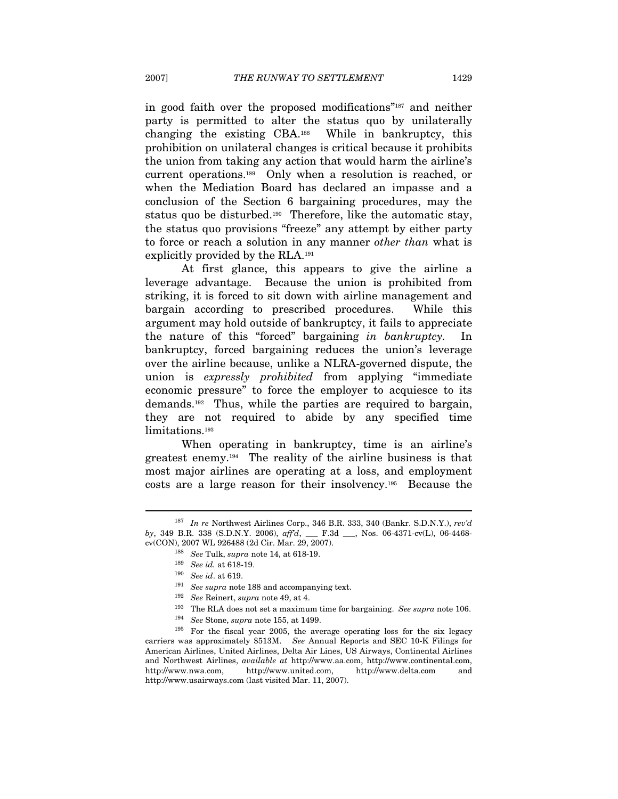in good faith over the proposed modifications"187 and neither party is permitted to alter the status quo by unilaterally changing the existing CBA.188 While in bankruptcy, this prohibition on unilateral changes is critical because it prohibits the union from taking any action that would harm the airline's current operations.189 Only when a resolution is reached, or when the Mediation Board has declared an impasse and a conclusion of the Section 6 bargaining procedures, may the status quo be disturbed.190 Therefore, like the automatic stay, the status quo provisions "freeze" any attempt by either party to force or reach a solution in any manner other than what is explicitly provided by the RLA.191

At first glance, this appears to give the airline a leverage advantage. Because the union is prohibited from striking, it is forced to sit down with airline management and bargain according to prescribed procedures. While this argument may hold outside of bankruptcy, it fails to appreciate the nature of this "forced" bargaining in bankruptcy. In bankruptcy, forced bargaining reduces the union's leverage over the airline because, unlike a NLRA-governed dispute, the union is expressly prohibited from applying "immediate economic pressure" to force the employer to acquiesce to its demands.192 Thus, while the parties are required to bargain, they are not required to abide by any specified time limitations.<sup>193</sup>

When operating in bankruptcy, time is an airline's greatest enemy.194 The reality of the airline business is that most major airlines are operating at a loss, and employment costs are a large reason for their insolvency.195 Because the

 $187$  In re Northwest Airlines Corp., 346 B.R. 333, 340 (Bankr. S.D.N.Y.), rev'd by, 349 B.R. 338 (S.D.N.Y. 2006),  $affd$ , \_\_\_ F.3d \_\_\_, Nos. 06-4371-cv(L), 06-4468-

cv(CON), 2007 WL 926488 (2d Cir. Mar. 29, 2007).<br><sup>188</sup> See Tulk, supra note 14, at 618-19.<br><sup>189</sup> See id. at 618-19.

<sup>&</sup>lt;sup>190</sup> See id. at 619.<br>
<sup>191</sup> See supra note 188 and accompanying text.<br>
<sup>192</sup> See Reinert, *supra* note 49, at 4.<br>
<sup>193</sup> The RLA does not set a maximum time for bargaining. See *supra* note 106.<br>
<sup>194</sup> See Stone, *supra* carriers was approximately \$513M. See Annual Reports and SEC 10-K Filings for American Airlines, United Airlines, Delta Air Lines, US Airways, Continental Airlines and Northwest Airlines, available at http://www.aa.com, http://www.continental.com, http://www.nwa.com, http://www.united.com, http://www.delta.com and http://www.usairways.com (last visited Mar. 11, 2007).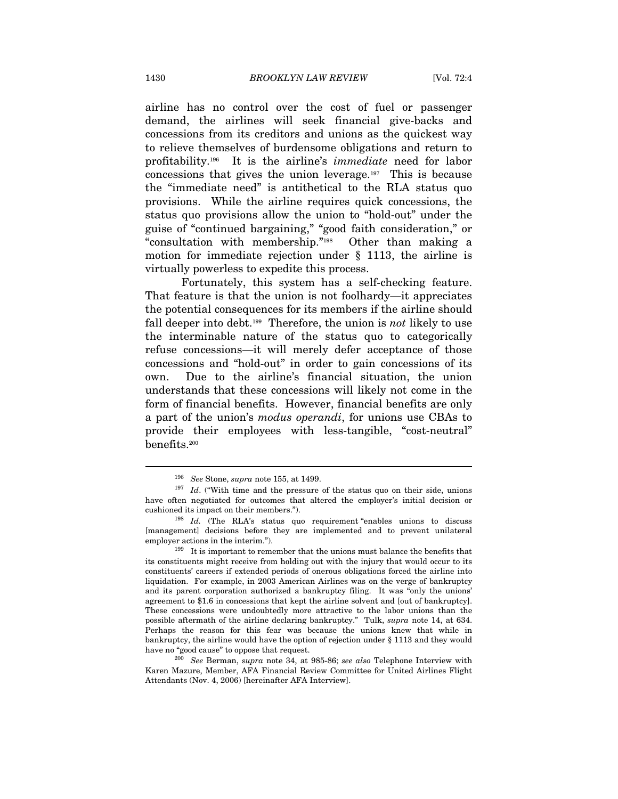airline has no control over the cost of fuel or passenger demand, the airlines will seek financial give-backs and concessions from its creditors and unions as the quickest way to relieve themselves of burdensome obligations and return to profitability.196 It is the airline's immediate need for labor concessions that gives the union leverage.197 This is because the "immediate need" is antithetical to the RLA status quo provisions. While the airline requires quick concessions, the status quo provisions allow the union to "hold-out" under the guise of "continued bargaining," "good faith consideration," or "consultation with membership."198 Other than making a motion for immediate rejection under § 1113, the airline is virtually powerless to expedite this process.

Fortunately, this system has a self-checking feature. That feature is that the union is not foolhardy—it appreciates the potential consequences for its members if the airline should fall deeper into debt.<sup>199</sup> Therefore, the union is *not* likely to use the interminable nature of the status quo to categorically refuse concessions—it will merely defer acceptance of those concessions and "hold-out" in order to gain concessions of its own. Due to the airline's financial situation, the union understands that these concessions will likely not come in the form of financial benefits. However, financial benefits are only a part of the union's modus operandi, for unions use CBAs to provide their employees with less-tangible, "cost-neutral" benefits.200

<sup>&</sup>lt;sup>196</sup> See Stone, supra note 155, at 1499.<br><sup>197</sup> Id. ("With time and the pressure of the status quo on their side, unions have often negotiated for outcomes that altered the employer's initial decision or cushioned its impact on their members."). 198 Id. (The RLA's status quo requirement "enables unions to discuss

<sup>[</sup>management] decisions before they are implemented and to prevent unilateral employer actions in the interim.").<br><sup>199</sup> It is important to remember that the unions must balance the benefits that

its constituents might receive from holding out with the injury that would occur to its constituents' careers if extended periods of onerous obligations forced the airline into liquidation. For example, in 2003 American Airlines was on the verge of bankruptcy and its parent corporation authorized a bankruptcy filing. It was "only the unions' agreement to \$1.6 in concessions that kept the airline solvent and [out of bankruptcy]. These concessions were undoubtedly more attractive to the labor unions than the possible aftermath of the airline declaring bankruptcy." Tulk, supra note 14, at 634. Perhaps the reason for this fear was because the unions knew that while in bankruptcy, the airline would have the option of rejection under § 1113 and they would have no "good cause" to oppose that request.<br><sup>200</sup> See Berman, supra note 34, at 985-86; see also Telephone Interview with

Karen Mazure, Member, AFA Financial Review Committee for United Airlines Flight Attendants (Nov. 4, 2006) [hereinafter AFA Interview].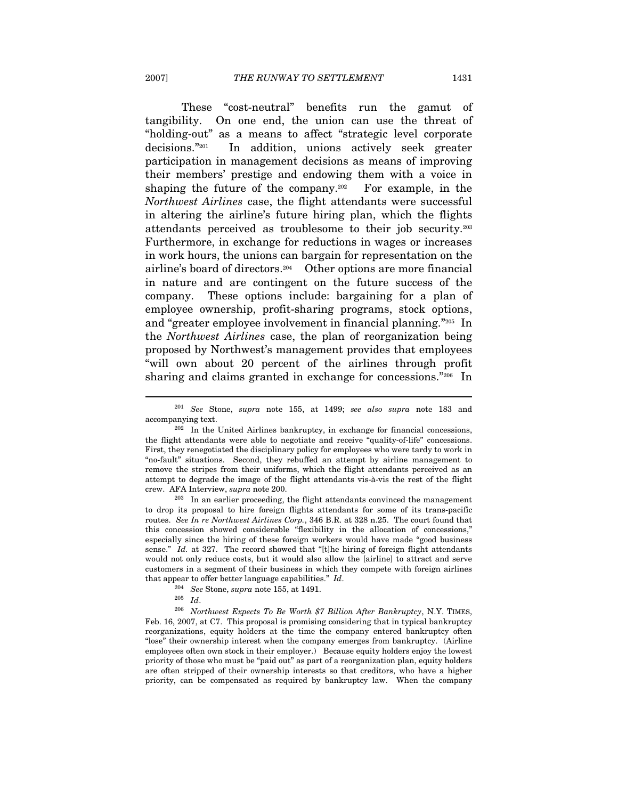These "cost-neutral" benefits run the gamut of tangibility. On one end, the union can use the threat of "holding-out" as a means to affect "strategic level corporate decisions."201 In addition, unions actively seek greater participation in management decisions as means of improving their members' prestige and endowing them with a voice in shaping the future of the company.<sup>202</sup> For example, in the Northwest Airlines case, the flight attendants were successful in altering the airline's future hiring plan, which the flights attendants perceived as troublesome to their job security.203 Furthermore, in exchange for reductions in wages or increases in work hours, the unions can bargain for representation on the airline's board of directors.204 Other options are more financial in nature and are contingent on the future success of the company. These options include: bargaining for a plan of employee ownership, profit-sharing programs, stock options, and "greater employee involvement in financial planning."205 In the Northwest Airlines case, the plan of reorganization being proposed by Northwest's management provides that employees "will own about 20 percent of the airlines through profit sharing and claims granted in exchange for concessions."206 In

crew. AFA Interview, *supra* note 200.<br><sup>203</sup> In an earlier proceeding, the flight attendants convinced the management to drop its proposal to hire foreign flights attendants for some of its trans-pacific routes. See In re Northwest Airlines Corp., 346 B.R. at 328 n.25. The court found that this concession showed considerable "flexibility in the allocation of concessions," especially since the hiring of these foreign workers would have made "good business sense." Id. at 327. The record showed that "[t]he hiring of foreign flight attendants would not only reduce costs, but it would also allow the [airline] to attract and serve customers in a segment of their business in which they compete with foreign airlines

that appear to offer better language capabilities." Id.  $^{204}$  See Stone, supra note 155, at 1491.<br> $^{205}$  Id.  $^{206}$  Northwest Expects To Be Worth \$7 Billion After Bankruptcy, N.Y. TIMES, Feb. 16, 2007, at C7. This proposal is promising considering that in typical bankruptcy reorganizations, equity holders at the time the company entered bankruptcy often "lose" their ownership interest when the company emerges from bankruptcy. (Airline employees often own stock in their employer.) Because equity holders enjoy the lowest priority of those who must be "paid out" as part of a reorganization plan, equity holders are often stripped of their ownership interests so that creditors, who have a higher priority, can be compensated as required by bankruptcy law. When the company

<sup>201</sup> See Stone, supra note 155, at 1499; see also supra note 183 and accompanying text.<br><sup>202</sup> In the United Airlines bankruptcy, in exchange for financial concessions,

the flight attendants were able to negotiate and receive "quality-of-life" concessions. First, they renegotiated the disciplinary policy for employees who were tardy to work in "no-fault" situations. Second, they rebuffed an attempt by airline management to remove the stripes from their uniforms, which the flight attendants perceived as an attempt to degrade the image of the flight attendants vis-à-vis the rest of the flight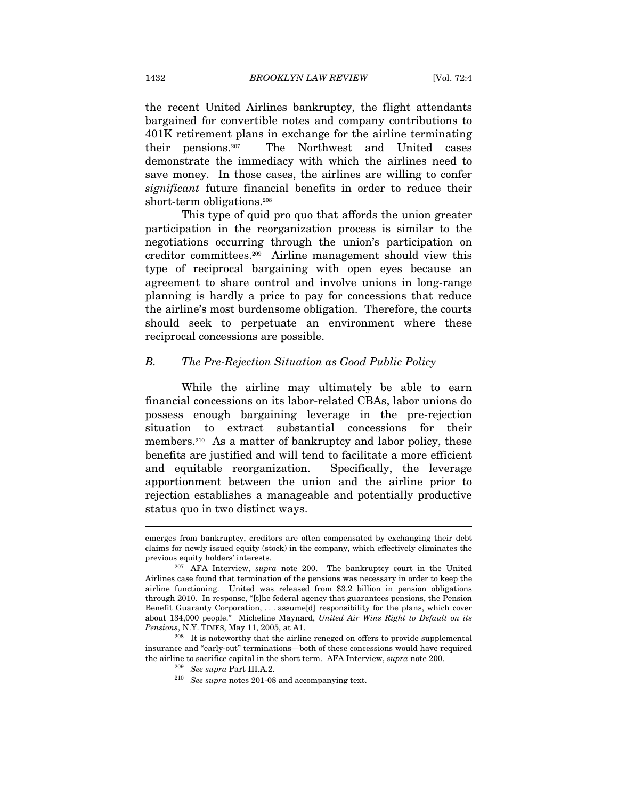the recent United Airlines bankruptcy, the flight attendants bargained for convertible notes and company contributions to 401K retirement plans in exchange for the airline terminating their pensions.207 The Northwest and United cases demonstrate the immediacy with which the airlines need to save money. In those cases, the airlines are willing to confer significant future financial benefits in order to reduce their short-term obligations.<sup>208</sup>

This type of quid pro quo that affords the union greater participation in the reorganization process is similar to the negotiations occurring through the union's participation on creditor committees.209 Airline management should view this type of reciprocal bargaining with open eyes because an agreement to share control and involve unions in long-range planning is hardly a price to pay for concessions that reduce the airline's most burdensome obligation. Therefore, the courts should seek to perpetuate an environment where these reciprocal concessions are possible.

#### B. The Pre-Rejection Situation as Good Public Policy

While the airline may ultimately be able to earn financial concessions on its labor-related CBAs, labor unions do possess enough bargaining leverage in the pre-rejection situation to extract substantial concessions for their members.<sup>210</sup> As a matter of bankruptcy and labor policy, these benefits are justified and will tend to facilitate a more efficient and equitable reorganization. Specifically, the leverage apportionment between the union and the airline prior to rejection establishes a manageable and potentially productive status quo in two distinct ways.

emerges from bankruptcy, creditors are often compensated by exchanging their debt claims for newly issued equity (stock) in the company, which effectively eliminates the previous equity holders' interests.<br><sup>207</sup> AFA Interview, *supra* note 200. The bankruptcy court in the United

Airlines case found that termination of the pensions was necessary in order to keep the airline functioning. United was released from \$3.2 billion in pension obligations through 2010. In response, "[t]he federal agency that guarantees pensions, the Pension Benefit Guaranty Corporation, . . . assume[d] responsibility for the plans, which cover about 134,000 people." Micheline Maynard, United Air Wins Right to Default on its

 $Pensions,$  N.Y. TIMES, May 11, 2005, at A1.  $^{208}$  It is noteworthy that the airline reneged on offers to provide supplemental insurance and "early-out" terminations—both of these concessions would have required the airline to sacrifice capital in the short term. AFA Interview, *supra* note 200.<br><sup>209</sup> See supra Part III.A.2. <sup>210</sup> See supra notes 201-08 and accompanying text.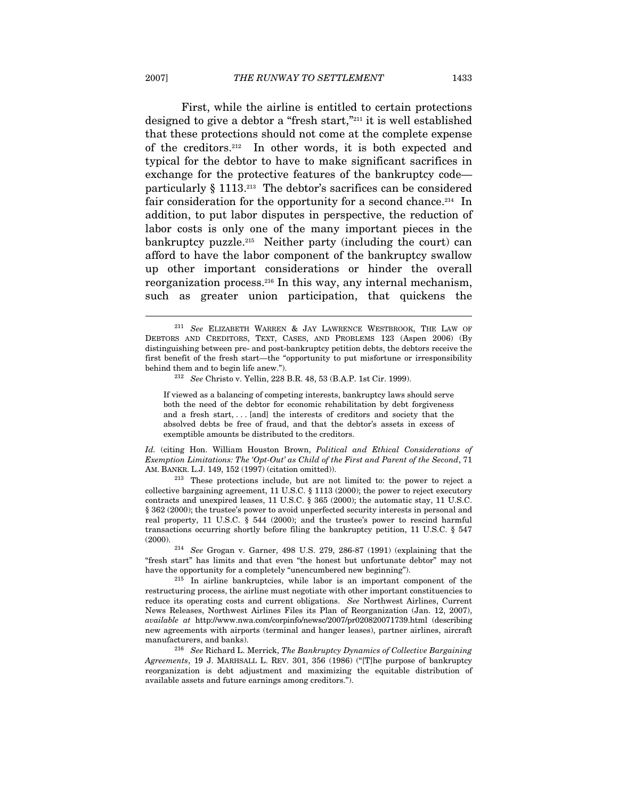$\overline{a}$ 

First, while the airline is entitled to certain protections designed to give a debtor a "fresh start,"211 it is well established that these protections should not come at the complete expense of the creditors.212 In other words, it is both expected and typical for the debtor to have to make significant sacrifices in exchange for the protective features of the bankruptcy code particularly § 1113.213 The debtor's sacrifices can be considered fair consideration for the opportunity for a second chance.<sup>214</sup> In addition, to put labor disputes in perspective, the reduction of labor costs is only one of the many important pieces in the bankruptcy puzzle.215 Neither party (including the court) can afford to have the labor component of the bankruptcy swallow up other important considerations or hinder the overall reorganization process.216 In this way, any internal mechanism, such as greater union participation, that quickens the

If viewed as a balancing of competing interests, bankruptcy laws should serve both the need of the debtor for economic rehabilitation by debt forgiveness and a fresh start, ... [and] the interests of creditors and society that the absolved debts be free of fraud, and that the debtor's assets in excess of exemptible amounts be distributed to the creditors.

Id. (citing Hon. William Houston Brown, Political and Ethical Considerations of Exemption Limitations: The 'Opt-Out' as Child of the First and Parent of the Second, 71 AM. BANKR. L.J. 149, 152 (1997) (citation omitted)). 213 These protections include, but are not limited to: the power to reject a

collective bargaining agreement, 11 U.S.C. § 1113 (2000); the power to reject executory contracts and unexpired leases, 11 U.S.C. § 365 (2000); the automatic stay, 11 U.S.C. § 362 (2000); the trustee's power to avoid unperfected security interests in personal and real property, 11 U.S.C. § 544 (2000); and the trustee's power to rescind harmful transactions occurring shortly before filing the bankruptcy petition, 11 U.S.C. § 547

(2000). <sup>214</sup> See Grogan v. Garner, 498 U.S. 279, 286-87 (1991) (explaining that the "fresh start" has limits and that even "the honest but unfortunate debtor" may not have the opportunity for a completely "unencumbered new beginning").<br><sup>215</sup> In airline bankruptcies, while labor is an important component of the

restructuring process, the airline must negotiate with other important constituencies to reduce its operating costs and current obligations. See Northwest Airlines, Current News Releases, Northwest Airlines Files its Plan of Reorganization (Jan. 12, 2007), available at http://www.nwa.com/corpinfo/newsc/2007/pr020820071739.html (describing new agreements with airports (terminal and hanger leases), partner airlines, aircraft manufacturers, and banks).<br><sup>216</sup> See Richard L. Merrick, *The Bankruptcy Dynamics of Collective Bargaining* 

Agreements, 19 J. MARHSALL L. REV. 301, 356 (1986) ("[T]he purpose of bankruptcy reorganization is debt adjustment and maximizing the equitable distribution of available assets and future earnings among creditors.").

<sup>&</sup>lt;sup>211</sup> See ELIZABETH WARREN & JAY LAWRENCE WESTBROOK, THE LAW OF DEBTORS AND CREDITORS, TEXT, CASES, AND PROBLEMS 123 (Aspen 2006) (By distinguishing between pre- and post-bankruptcy petition debts, the debtors receive the first benefit of the fresh start—the "opportunity to put misfortune or irresponsibility behind them and to begin life anew.").<br><sup>212</sup> See Christo v. Yellin, 228 B.R. 48, 53 (B.A.P. 1st Cir. 1999).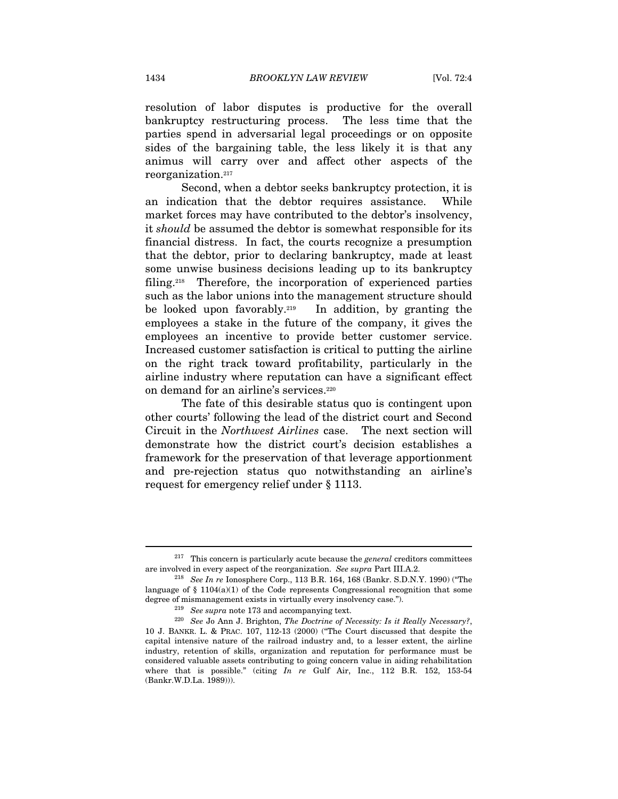resolution of labor disputes is productive for the overall bankruptcy restructuring process. The less time that the parties spend in adversarial legal proceedings or on opposite sides of the bargaining table, the less likely it is that any animus will carry over and affect other aspects of the reorganization.217

Second, when a debtor seeks bankruptcy protection, it is an indication that the debtor requires assistance. While market forces may have contributed to the debtor's insolvency, it should be assumed the debtor is somewhat responsible for its financial distress. In fact, the courts recognize a presumption that the debtor, prior to declaring bankruptcy, made at least some unwise business decisions leading up to its bankruptcy filing.<sup>218</sup> Therefore, the incorporation of experienced parties such as the labor unions into the management structure should be looked upon favorably.219 In addition, by granting the employees a stake in the future of the company, it gives the employees an incentive to provide better customer service. Increased customer satisfaction is critical to putting the airline on the right track toward profitability, particularly in the airline industry where reputation can have a significant effect on demand for an airline's services.220

The fate of this desirable status quo is contingent upon other courts' following the lead of the district court and Second Circuit in the Northwest Airlines case. The next section will demonstrate how the district court's decision establishes a framework for the preservation of that leverage apportionment and pre-rejection status quo notwithstanding an airline's request for emergency relief under § 1113.

 $217$  This concern is particularly acute because the *general* creditors committees

are involved in every aspect of the reorganization. See supra Part III.A.2.<br><sup>218</sup> See In re Ionosphere Corp., 113 B.R. 164, 168 (Bankr. S.D.N.Y. 1990) ("The language of  $\S$  1104(a)(1) of the Code represents Congressional recognition that some degree of mismanagement exists in virtually every insolvency case.").

<sup>&</sup>lt;sup>219</sup> See supra note 173 and accompanying text.<br><sup>220</sup> See Jo Ann J. Brighton, *The Doctrine of Necessity: Is it Really Necessary?*, 10 J. BANKR. L. & PRAC. 107, 112-13 (2000) ("The Court discussed that despite the capital intensive nature of the railroad industry and, to a lesser extent, the airline industry, retention of skills, organization and reputation for performance must be considered valuable assets contributing to going concern value in aiding rehabilitation where that is possible." (citing  $In$  re Gulf Air, Inc., 112 B.R. 152, 153-54 (Bankr.W.D.La. 1989))).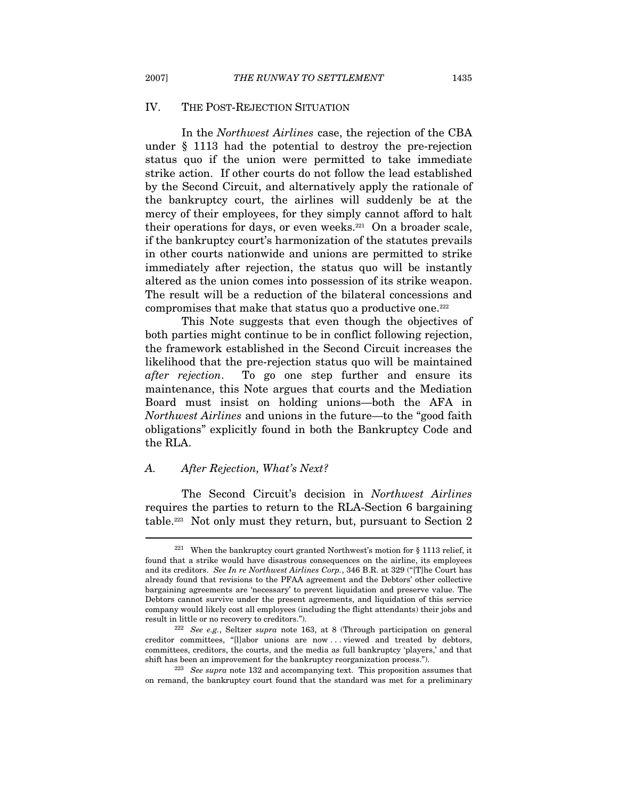#### IV. THE POST-REJECTION SITUATION

In the Northwest Airlines case, the rejection of the CBA under § 1113 had the potential to destroy the pre-rejection status quo if the union were permitted to take immediate strike action. If other courts do not follow the lead established by the Second Circuit, and alternatively apply the rationale of the bankruptcy court, the airlines will suddenly be at the mercy of their employees, for they simply cannot afford to halt their operations for days, or even weeks.<sup>221</sup> On a broader scale, if the bankruptcy court's harmonization of the statutes prevails in other courts nationwide and unions are permitted to strike immediately after rejection, the status quo will be instantly altered as the union comes into possession of its strike weapon. The result will be a reduction of the bilateral concessions and compromises that make that status quo a productive one.222

This Note suggests that even though the objectives of both parties might continue to be in conflict following rejection, the framework established in the Second Circuit increases the likelihood that the pre-rejection status quo will be maintained after rejection. To go one step further and ensure its maintenance, this Note argues that courts and the Mediation Board must insist on holding unions—both the AFA in Northwest Airlines and unions in the future—to the "good faith obligations" explicitly found in both the Bankruptcy Code and the RLA.

#### A. After Rejection, What's Next?

The Second Circuit's decision in Northwest Airlines requires the parties to return to the RLA-Section 6 bargaining table.223 Not only must they return, but, pursuant to Section 2

<sup>&</sup>lt;sup>221</sup> When the bankruptcy court granted Northwest's motion for  $\S$  1113 relief, it found that a strike would have disastrous consequences on the airline, its employees and its creditors. See In re Northwest Airlines Corp., 346 B.R. at 329 ("[T]he Court has already found that revisions to the PFAA agreement and the Debtors' other collective bargaining agreements are 'necessary' to prevent liquidation and preserve value. The Debtors cannot survive under the present agreements, and liquidation of this service company would likely cost all employees (including the flight attendants) their jobs and

result in little or no recovery to creditors.").<br><sup>222</sup> See e.g., Seltzer supra note 163, at 8 (Through participation on general creditor committees, "[l]abor unions are now . . . viewed and treated by debtors, committees, creditors, the courts, and the media as full bankruptcy 'players,' and that shift has been an improvement for the bankruptcy reorganization process.").  $2^{23}$  See supra note 132 and accompanying text. This proposition assumes that

on remand, the bankruptcy court found that the standard was met for a preliminary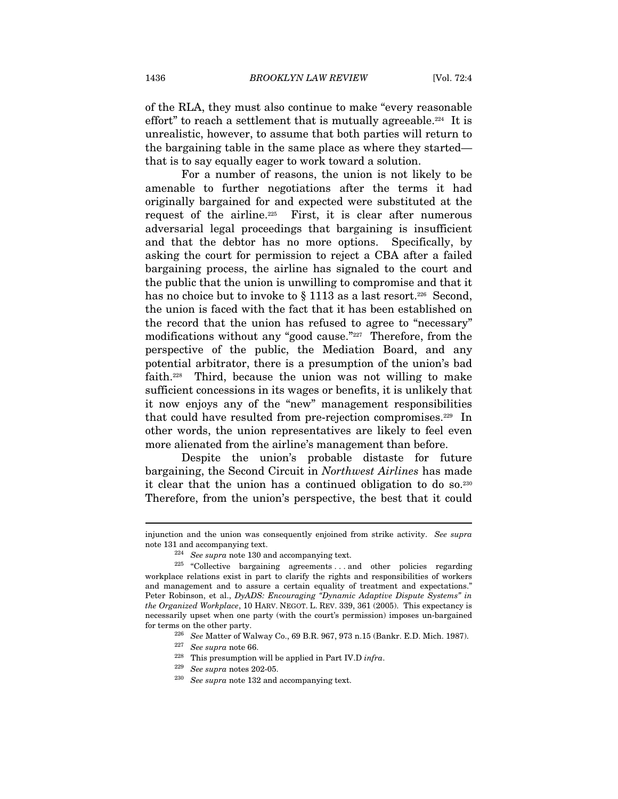of the RLA, they must also continue to make "every reasonable effort" to reach a settlement that is mutually agreeable.<sup>224</sup> It is unrealistic, however, to assume that both parties will return to the bargaining table in the same place as where they started that is to say equally eager to work toward a solution.

For a number of reasons, the union is not likely to be amenable to further negotiations after the terms it had originally bargained for and expected were substituted at the request of the airline.<sup>225</sup> First, it is clear after numerous adversarial legal proceedings that bargaining is insufficient and that the debtor has no more options. Specifically, by asking the court for permission to reject a CBA after a failed bargaining process, the airline has signaled to the court and the public that the union is unwilling to compromise and that it has no choice but to invoke to § 1113 as a last resort.<sup>226</sup> Second, the union is faced with the fact that it has been established on the record that the union has refused to agree to "necessary" modifications without any "good cause."<sup>227</sup> Therefore, from the perspective of the public, the Mediation Board, and any potential arbitrator, there is a presumption of the union's bad faith.228 Third, because the union was not willing to make sufficient concessions in its wages or benefits, it is unlikely that it now enjoys any of the "new" management responsibilities that could have resulted from pre-rejection compromises.229 In other words, the union representatives are likely to feel even more alienated from the airline's management than before.

Despite the union's probable distaste for future bargaining, the Second Circuit in Northwest Airlines has made it clear that the union has a continued obligation to do so.<sup>230</sup> Therefore, from the union's perspective, the best that it could

- <sup>228</sup> This presumption will be applied in Part IV.D *infra*.<br><sup>229</sup> See supra notes 202-05.<br><sup>230</sup> See supra note 132 and accompanying text.
- 
- 

injunction and the union was consequently enjoined from strike activity. See supra

note 131 and accompanying text.<br><sup>224</sup> See supra note 130 and accompanying text.<br><sup>225</sup> "Collective bargaining agreements . . . and other policies regarding workplace relations exist in part to clarify the rights and responsibilities of workers and management and to assure a certain equality of treatment and expectations." Peter Robinson, et al., DyADS: Encouraging "Dynamic Adaptive Dispute Systems" in the Organized Workplace, 10 HARV. NEGOT. L. REV. 339, 361 (2005). This expectancy is necessarily upset when one party (with the court's permission) imposes un-bargained % for terms on the other party. 226 See Matter of Walway Co., 69 B.R. 967, 973 n.15 (Bankr. E.D. Mich. 1987). 227 See supra note 66.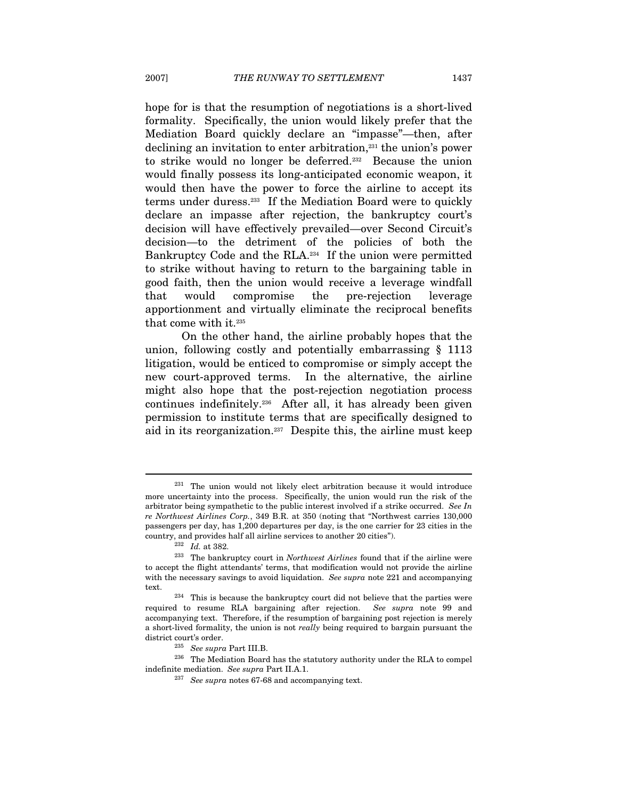hope for is that the resumption of negotiations is a short-lived formality. Specifically, the union would likely prefer that the Mediation Board quickly declare an "impasse"—then, after declining an invitation to enter arbitration,231 the union's power to strike would no longer be deferred.232 Because the union would finally possess its long-anticipated economic weapon, it would then have the power to force the airline to accept its terms under duress.233 If the Mediation Board were to quickly declare an impasse after rejection, the bankruptcy court's decision will have effectively prevailed—over Second Circuit's decision—to the detriment of the policies of both the Bankruptcy Code and the RLA.234 If the union were permitted to strike without having to return to the bargaining table in good faith, then the union would receive a leverage windfall that would compromise the pre-rejection leverage apportionment and virtually eliminate the reciprocal benefits that come with it.235

On the other hand, the airline probably hopes that the union, following costly and potentially embarrassing § 1113 litigation, would be enticed to compromise or simply accept the new court-approved terms. In the alternative, the airline might also hope that the post-rejection negotiation process continues indefinitely.236 After all, it has already been given permission to institute terms that are specifically designed to aid in its reorganization.237 Despite this, the airline must keep

<sup>&</sup>lt;sup>231</sup> The union would not likely elect arbitration because it would introduce more uncertainty into the process. Specifically, the union would run the risk of the arbitrator being sympathetic to the public interest involved if a strike occurred. See In re Northwest Airlines Corp., 349 B.R. at 350 (noting that "Northwest carries 130,000 passengers per day, has 1,200 departures per day, is the one carrier for 23 cities in the country, and provides half all airline services to another 20 cities").<br><sup>232</sup> Id. at 382. <sup>233</sup> The bankruptcy court in *Northwest Airlines* found that if the airline were

to accept the flight attendants' terms, that modification would not provide the airline with the necessary savings to avoid liquidation. See supra note 221 and accompanying

text. 234 This is because the bankruptcy court did not believe that the parties were required to resume RLA bargaining after rejection. See supra note 99 and accompanying text. Therefore, if the resumption of bargaining post rejection is merely a short-lived formality, the union is not really being required to bargain pursuant the

district court's order.<br>
<sup>235</sup> See supra Part III.B.<br>
<sup>236</sup> The Mediation Board has the statutory authority under the RLA to compel<br>
indefinite mediation. See supra Part II.A.1.

 $1237$  See supra notes 67-68 and accompanying text.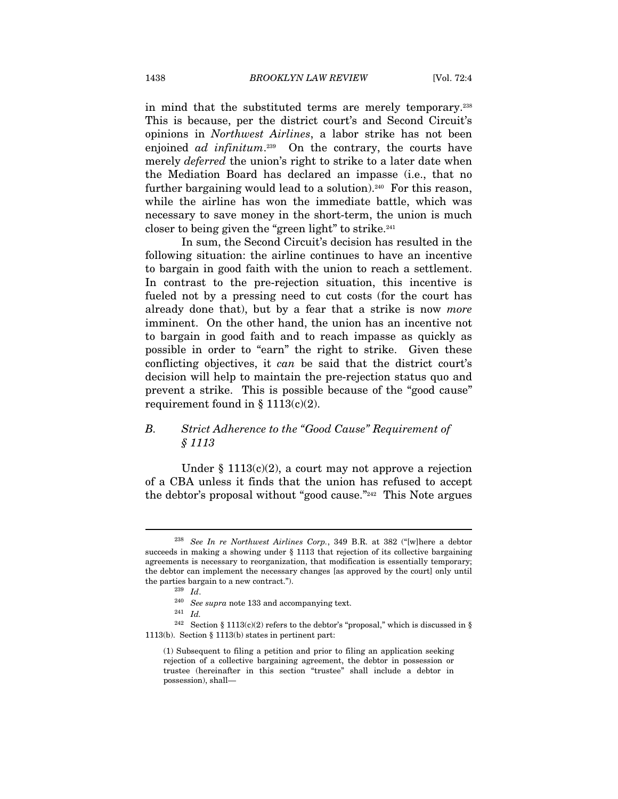in mind that the substituted terms are merely temporary.238 This is because, per the district court's and Second Circuit's opinions in Northwest Airlines, a labor strike has not been enjoined *ad infinitum*<sup>239</sup> On the contrary, the courts have merely deferred the union's right to strike to a later date when the Mediation Board has declared an impasse (i.e., that no further bargaining would lead to a solution).<sup>240</sup> For this reason, while the airline has won the immediate battle, which was necessary to save money in the short-term, the union is much closer to being given the "green light" to strike. $241$ 

In sum, the Second Circuit's decision has resulted in the following situation: the airline continues to have an incentive to bargain in good faith with the union to reach a settlement. In contrast to the pre-rejection situation, this incentive is fueled not by a pressing need to cut costs (for the court has already done that), but by a fear that a strike is now more imminent. On the other hand, the union has an incentive not to bargain in good faith and to reach impasse as quickly as possible in order to "earn" the right to strike. Given these conflicting objectives, it can be said that the district court's decision will help to maintain the pre-rejection status quo and prevent a strike. This is possible because of the "good cause" requirement found in  $\S$  1113(c)(2).

### B. Strict Adherence to the "Good Cause" Requirement of § 1113

Under § 1113(c)(2), a court may not approve a rejection of a CBA unless it finds that the union has refused to accept the debtor's proposal without "good cause."242 This Note argues

 $\overline{a}$ 

 $^{242}$  Section § 1113(c)(2) refers to the debtor's "proposal," which is discussed in § 1113(b). Section § 1113(b) states in pertinent part:

<sup>238</sup> See In re Northwest Airlines Corp., 349 B.R. at 382 ("[w]here a debtor succeeds in making a showing under § 1113 that rejection of its collective bargaining agreements is necessary to reorganization, that modification is essentially temporary; the debtor can implement the necessary changes [as approved by the court] only until the parties bargain to a new contract.").<br>
<sup>239</sup> Id. 240 See supra note 133 and accompanying text.<br>
<sup>241</sup> Id.

<sup>(1)</sup> Subsequent to filing a petition and prior to filing an application seeking rejection of a collective bargaining agreement, the debtor in possession or trustee (hereinafter in this section "trustee" shall include a debtor in possession), shall—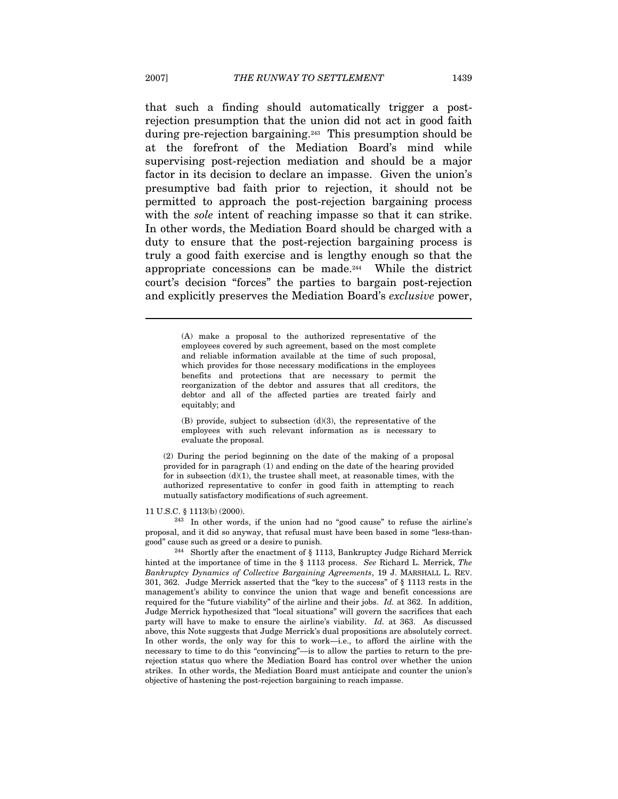that such a finding should automatically trigger a postrejection presumption that the union did not act in good faith during pre-rejection bargaining.243 This presumption should be at the forefront of the Mediation Board's mind while supervising post-rejection mediation and should be a major factor in its decision to declare an impasse. Given the union's presumptive bad faith prior to rejection, it should not be permitted to approach the post-rejection bargaining process with the *sole* intent of reaching impasse so that it can strike. In other words, the Mediation Board should be charged with a duty to ensure that the post-rejection bargaining process is truly a good faith exercise and is lengthy enough so that the appropriate concessions can be made.244 While the district court's decision "forces" the parties to bargain post-rejection and explicitly preserves the Mediation Board's exclusive power,

> (A) make a proposal to the authorized representative of the employees covered by such agreement, based on the most complete and reliable information available at the time of such proposal, which provides for those necessary modifications in the employees benefits and protections that are necessary to permit the reorganization of the debtor and assures that all creditors, the debtor and all of the affected parties are treated fairly and equitably; and

> $(B)$  provide, subject to subsection  $(d)(3)$ , the representative of the employees with such relevant information as is necessary to evaluate the proposal.

(2) During the period beginning on the date of the making of a proposal provided for in paragraph (1) and ending on the date of the hearing provided for in subsection (d)(1), the trustee shall meet, at reasonable times, with the authorized representative to confer in good faith in attempting to reach mutually satisfactory modifications of such agreement.

 $\overline{a}$ 

11 U.S.C. § 1113(b) (2000). 243 In other words, if the union had no "good cause" to refuse the airline's proposal, and it did so anyway, that refusal must have been based in some "less-thangood" cause such as greed or a desire to punish.

 $^{244}$  Shortly after the enactment of § 1113, Bankruptcy Judge Richard Merrick hinted at the importance of time in the § 1113 process. See Richard L. Merrick, The Bankruptcy Dynamics of Collective Bargaining Agreements, 19 J. MARSHALL L. REV. 301, 362. Judge Merrick asserted that the "key to the success" of § 1113 rests in the management's ability to convince the union that wage and benefit concessions are required for the "future viability" of the airline and their jobs. Id. at 362. In addition, Judge Merrick hypothesized that "local situations" will govern the sacrifices that each party will have to make to ensure the airline's viability. Id. at 363. As discussed above, this Note suggests that Judge Merrick's dual propositions are absolutely correct. In other words, the only way for this to work—i.e., to afford the airline with the necessary to time to do this "convincing"—is to allow the parties to return to the prerejection status quo where the Mediation Board has control over whether the union strikes. In other words, the Mediation Board must anticipate and counter the union's objective of hastening the post-rejection bargaining to reach impasse.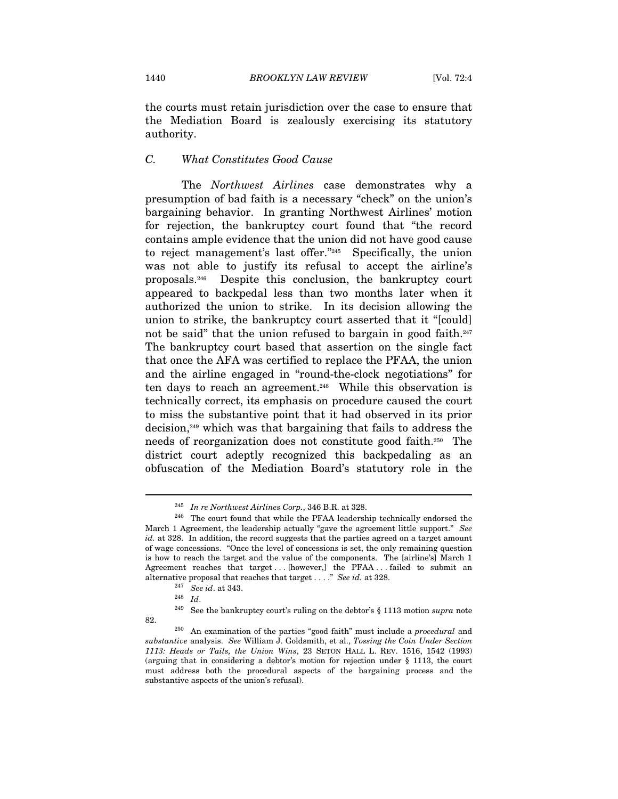the courts must retain jurisdiction over the case to ensure that the Mediation Board is zealously exercising its statutory authority.

#### C. What Constitutes Good Cause

The Northwest Airlines case demonstrates why a presumption of bad faith is a necessary "check" on the union's bargaining behavior. In granting Northwest Airlines' motion for rejection, the bankruptcy court found that "the record contains ample evidence that the union did not have good cause to reject management's last offer."245 Specifically, the union was not able to justify its refusal to accept the airline's proposals.246 Despite this conclusion, the bankruptcy court appeared to backpedal less than two months later when it authorized the union to strike. In its decision allowing the union to strike, the bankruptcy court asserted that it "[could] not be said" that the union refused to bargain in good faith.<sup>247</sup> The bankruptcy court based that assertion on the single fact that once the AFA was certified to replace the PFAA, the union and the airline engaged in "round-the-clock negotiations" for ten days to reach an agreement.248 While this observation is technically correct, its emphasis on procedure caused the court to miss the substantive point that it had observed in its prior decision,249 which was that bargaining that fails to address the needs of reorganization does not constitute good faith.250 The district court adeptly recognized this backpedaling as an obfuscation of the Mediation Board's statutory role in the

<sup>&</sup>lt;sup>245</sup> In re Northwest Airlines Corp., 346 B.R. at 328.<br><sup>246</sup> The court found that while the PFAA leadership technically endorsed the March 1 Agreement, the leadership actually "gave the agreement little support." See id. at 328. In addition, the record suggests that the parties agreed on a target amount of wage concessions. "Once the level of concessions is set, the only remaining question is how to reach the target and the value of the components. The [airline's] March 1 Agreement reaches that target ... [however,] the PFAA ... failed to submit an alternative proposal that reaches that target . . . ." See id. at 328.<br><sup>247</sup> See id. at 343.<br><sup>248</sup> Id. <sup>248</sup> See the bankruptcy court's ruling on the debtor's § 1113 motion *supra* note

<sup>82.</sup>  $250$  An examination of the parties "good faith" must include a *procedural* and

substantive analysis. See William J. Goldsmith, et al., Tossing the Coin Under Section 1113: Heads or Tails, the Union Wins, 23 SETON HALL L. REV. 1516, 1542 (1993) (arguing that in considering a debtor's motion for rejection under § 1113, the court must address both the procedural aspects of the bargaining process and the substantive aspects of the union's refusal).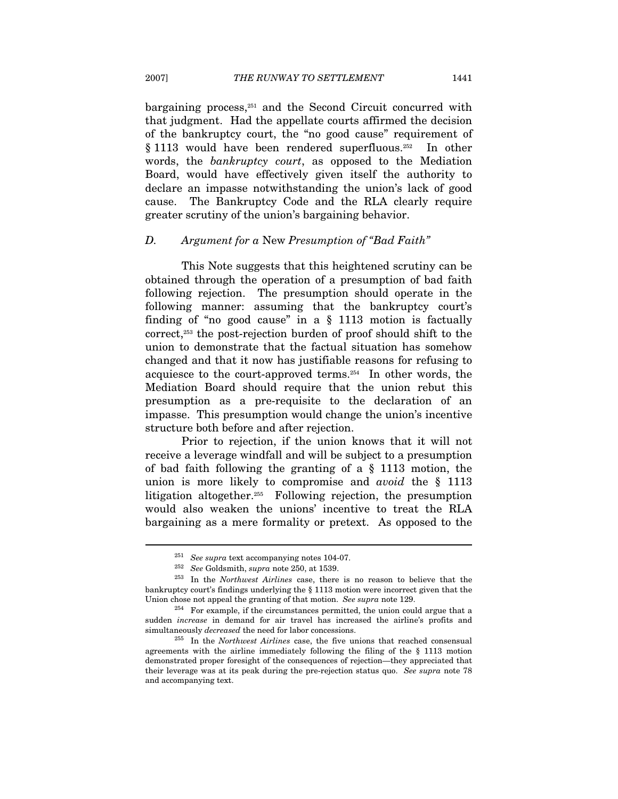bargaining process,<sup>251</sup> and the Second Circuit concurred with that judgment. Had the appellate courts affirmed the decision of the bankruptcy court, the "no good cause" requirement of § 1113 would have been rendered superfluous.<sup>252</sup> In other words, the bankruptcy court, as opposed to the Mediation Board, would have effectively given itself the authority to declare an impasse notwithstanding the union's lack of good cause. The Bankruptcy Code and the RLA clearly require greater scrutiny of the union's bargaining behavior.

#### D. Argument for a New Presumption of "Bad Faith"

This Note suggests that this heightened scrutiny can be obtained through the operation of a presumption of bad faith following rejection. The presumption should operate in the following manner: assuming that the bankruptcy court's finding of "no good cause" in a  $\S$  1113 motion is factually correct,253 the post-rejection burden of proof should shift to the union to demonstrate that the factual situation has somehow changed and that it now has justifiable reasons for refusing to acquiesce to the court-approved terms.254 In other words, the Mediation Board should require that the union rebut this presumption as a pre-requisite to the declaration of an impasse. This presumption would change the union's incentive structure both before and after rejection.

Prior to rejection, if the union knows that it will not receive a leverage windfall and will be subject to a presumption of bad faith following the granting of a § 1113 motion, the union is more likely to compromise and avoid the § 1113 litigation altogether.<sup>255</sup> Following rejection, the presumption would also weaken the unions' incentive to treat the RLA bargaining as a mere formality or pretext. As opposed to the

<sup>&</sup>lt;sup>251</sup> See supra text accompanying notes 104-07.<br><sup>252</sup> See Goldsmith, supra note 250, at 1539.

<sup>&</sup>lt;sup>253</sup> In the Northwest Airlines case, there is no reason to believe that the bankruptcy court's findings underlying the § 1113 motion were incorrect given that the Union chose not appeal the granting of that motion. *See supra* note 129.<br><sup>254</sup> For example, if the circumstances permitted, the union could argue that a

sudden increase in demand for air travel has increased the airline's profits and simultaneously *decreased* the need for labor concessions.<br><sup>255</sup> In the *Northwest Airlines* case, the five unions that reached consensual

agreements with the airline immediately following the filing of the § 1113 motion demonstrated proper foresight of the consequences of rejection—they appreciated that their leverage was at its peak during the pre-rejection status quo. See supra note 78 and accompanying text.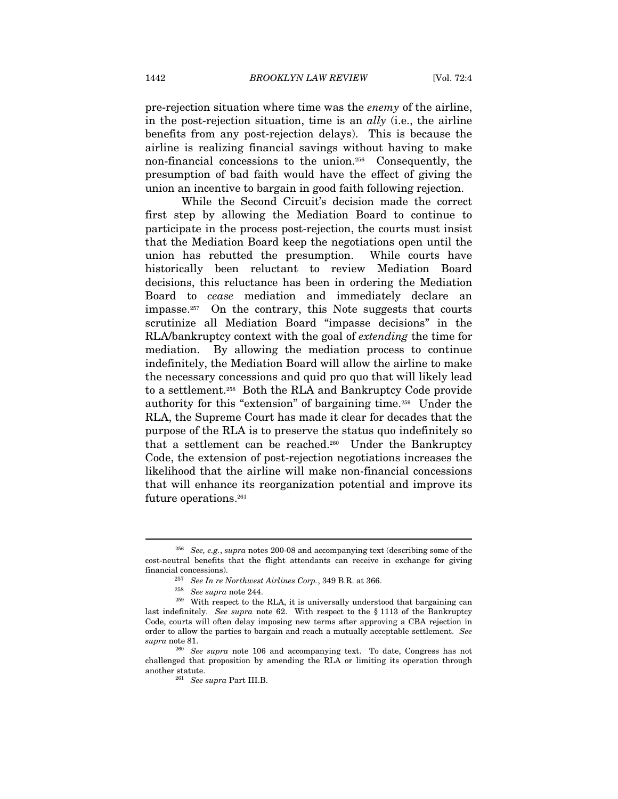pre-rejection situation where time was the enemy of the airline, in the post-rejection situation, time is an ally (i.e., the airline benefits from any post-rejection delays). This is because the airline is realizing financial savings without having to make non-financial concessions to the union.256 Consequently, the presumption of bad faith would have the effect of giving the union an incentive to bargain in good faith following rejection.

While the Second Circuit's decision made the correct first step by allowing the Mediation Board to continue to participate in the process post-rejection, the courts must insist that the Mediation Board keep the negotiations open until the union has rebutted the presumption. While courts have historically been reluctant to review Mediation Board decisions, this reluctance has been in ordering the Mediation Board to cease mediation and immediately declare an impasse.257 On the contrary, this Note suggests that courts scrutinize all Mediation Board "impasse decisions" in the RLA/bankruptcy context with the goal of extending the time for mediation. By allowing the mediation process to continue indefinitely, the Mediation Board will allow the airline to make the necessary concessions and quid pro quo that will likely lead to a settlement.258 Both the RLA and Bankruptcy Code provide authority for this "extension" of bargaining time.259 Under the RLA, the Supreme Court has made it clear for decades that the purpose of the RLA is to preserve the status quo indefinitely so that a settlement can be reached.260 Under the Bankruptcy Code, the extension of post-rejection negotiations increases the likelihood that the airline will make non-financial concessions that will enhance its reorganization potential and improve its future operations.261

<sup>&</sup>lt;sup>256</sup> See, e.g., supra notes 200-08 and accompanying text (describing some of the cost-neutral benefits that the flight attendants can receive in exchange for giving financial concessions).<br><sup>257</sup> See In re Northwest Airlines Corp., 349 B.R. at 366.<br><sup>258</sup> See supra note 244.<br><sup>259</sup> With respect to the RLA, it is universally understood that bargaining can

last indefinitely. See supra note 62. With respect to the § 1113 of the Bankruptcy Code, courts will often delay imposing new terms after approving a CBA rejection in order to allow the parties to bargain and reach a mutually acceptable settlement. See supra note 81.  $\frac{260}{260}$  See supra note 106 and accompanying text. To date, Congress has not

challenged that proposition by amending the RLA or limiting its operation through another statute.<br> $\frac{261}{261}$  See supra Part III.B.